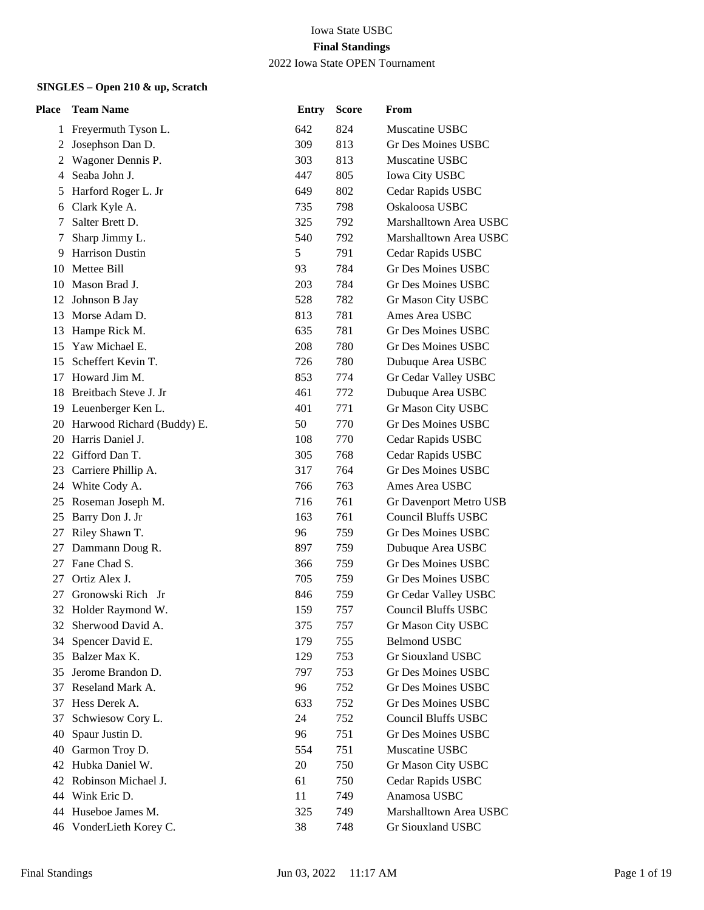| Place | <b>Team Name</b>           | <b>Entry</b> | <b>Score</b> | From                       |
|-------|----------------------------|--------------|--------------|----------------------------|
|       | 1 Freyermuth Tyson L.      | 642          | 824          | Muscatine USBC             |
| 2     | Josephson Dan D.           | 309          | 813          | Gr Des Moines USBC         |
| 2     | Wagoner Dennis P.          | 303          | 813          | Muscatine USBC             |
| 4     | Seaba John J.              | 447          | 805          | <b>Iowa City USBC</b>      |
| 5     | Harford Roger L. Jr        | 649          | 802          | Cedar Rapids USBC          |
| 6     | Clark Kyle A.              | 735          | 798          | Oskaloosa USBC             |
| 7     | Salter Brett D.            | 325          | 792          | Marshalltown Area USBC     |
| 7     | Sharp Jimmy L.             | 540          | 792          | Marshalltown Area USBC     |
| 9     | <b>Harrison Dustin</b>     | 5            | 791          | Cedar Rapids USBC          |
|       | 10 Mettee Bill             | 93           | 784          | Gr Des Moines USBC         |
| 10    | Mason Brad J.              | 203          | 784          | Gr Des Moines USBC         |
| 12    | Johnson B Jay              | 528          | 782          | Gr Mason City USBC         |
| 13    | Morse Adam D.              | 813          | 781          | Ames Area USBC             |
| 13    | Hampe Rick M.              | 635          | 781          | Gr Des Moines USBC         |
| 15    | Yaw Michael E.             | 208          | 780          | Gr Des Moines USBC         |
| 15    | Scheffert Kevin T.         | 726          | 780          | Dubuque Area USBC          |
| 17    | Howard Jim M.              | 853          | 774          | Gr Cedar Valley USBC       |
| 18    | Breitbach Steve J. Jr      | 461          | 772          | Dubuque Area USBC          |
|       | 19 Leuenberger Ken L.      | 401          | 771          | Gr Mason City USBC         |
| 20    | Harwood Richard (Buddy) E. | 50           | 770          | <b>Gr Des Moines USBC</b>  |
| 20    | Harris Daniel J.           | 108          | 770          | Cedar Rapids USBC          |
|       | 22 Gifford Dan T.          | 305          | 768          | Cedar Rapids USBC          |
| 23    | Carriere Phillip A.        | 317          | 764          | <b>Gr Des Moines USBC</b>  |
| 24    | White Cody A.              | 766          | 763          | Ames Area USBC             |
| 25    | Roseman Joseph M.          | 716          | 761          | Gr Davenport Metro USB     |
| 25    | Barry Don J. Jr            | 163          | 761          | <b>Council Bluffs USBC</b> |
| 27    | Riley Shawn T.             | 96           | 759          | Gr Des Moines USBC         |
| 27    | Dammann Doug R.            | 897          | 759          | Dubuque Area USBC          |
| 27    | Fane Chad S.               | 366          | 759          | <b>Gr Des Moines USBC</b>  |
| 27    | Ortiz Alex J.              | 705          | 759          | Gr Des Moines USBC         |
| 27    | Gronowski Rich Jr          | 846          | 759          | Gr Cedar Valley USBC       |
|       | 32 Holder Raymond W.       | 159          | 757          | <b>Council Bluffs USBC</b> |
| 32    | Sherwood David A.          | 375          | 757          | Gr Mason City USBC         |
| 34    | Spencer David E.           | 179          | 755          | <b>Belmond USBC</b>        |
| 35    | Balzer Max K.              | 129          | 753          | Gr Siouxland USBC          |
| 35    | Jerome Brandon D.          | 797          | 753          | Gr Des Moines USBC         |
| 37    | Reseland Mark A.           | 96           | 752          | Gr Des Moines USBC         |
| 37    | Hess Derek A.              | 633          | 752          | Gr Des Moines USBC         |
| 37    | Schwiesow Cory L.          | 24           | 752          | <b>Council Bluffs USBC</b> |
| 40    | Spaur Justin D.            | 96           | 751          | <b>Gr Des Moines USBC</b>  |
| 40    | Garmon Troy D.             | 554          | 751          | Muscatine USBC             |
| 42    | Hubka Daniel W.            | 20           | 750          | Gr Mason City USBC         |
| 42    | Robinson Michael J.        | 61           | 750          | Cedar Rapids USBC          |
| 44    | Wink Eric D.               | 11           | 749          | Anamosa USBC               |
| 44    | Huseboe James M.           | 325          | 749          | Marshalltown Area USBC     |
|       | 46 VonderLieth Korey C.    | 38           | 748          | Gr Siouxland USBC          |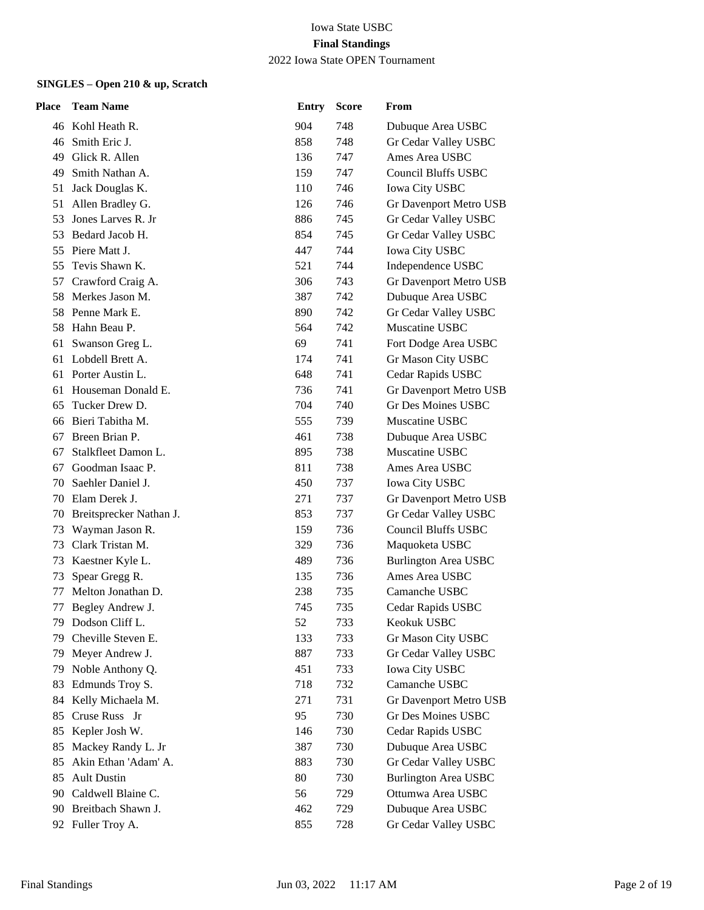| Place | <b>Team Name</b>        | <b>Entry</b> | <b>Score</b> | From                                             |
|-------|-------------------------|--------------|--------------|--------------------------------------------------|
|       | 46 Kohl Heath R.        | 904          | 748          | Dubuque Area USBC                                |
| 46    | Smith Eric J.           | 858          | 748          | Gr Cedar Valley USBC                             |
| 49    | Glick R. Allen          | 136          | 747          | Ames Area USBC                                   |
| 49    | Smith Nathan A.         | 159          | 747          | Council Bluffs USBC                              |
| 51    | Jack Douglas K.         | 110          | 746          | <b>Iowa City USBC</b>                            |
| 51    | Allen Bradley G.        | 126          | 746          | Gr Davenport Metro USB                           |
| 53    | Jones Larves R. Jr      | 886          | 745          | Gr Cedar Valley USBC                             |
| 53    | Bedard Jacob H.         | 854          | 745          | Gr Cedar Valley USBC                             |
| 55    | Piere Matt J.           | 447          | 744          | Iowa City USBC                                   |
| 55    | Tevis Shawn K.          | 521          | 744          | Independence USBC                                |
| 57    | Crawford Craig A.       | 306          | 743          | Gr Davenport Metro USB                           |
| 58    | Merkes Jason M.         | 387          | 742          | Dubuque Area USBC                                |
| 58.   | Penne Mark E.           | 890          | 742          | Gr Cedar Valley USBC                             |
| 58.   | Hahn Beau P.            | 564          | 742          | Muscatine USBC                                   |
| 61    | Swanson Greg L.         | 69           | 741          | Fort Dodge Area USBC                             |
| 61    | Lobdell Brett A.        | 174          | 741          | Gr Mason City USBC                               |
| 61    | Porter Austin L.        | 648          | 741          | Cedar Rapids USBC                                |
| 61    | Houseman Donald E.      | 736          | 741          | Gr Davenport Metro USB                           |
| 65    | Tucker Drew D.          | 704          | 740          | Gr Des Moines USBC                               |
| 66    | Bieri Tabitha M.        | 555          | 739          | Muscatine USBC                                   |
| 67    | Breen Brian P.          | 461          | 738          | Dubuque Area USBC                                |
| 67    | Stalkfleet Damon L.     | 895          | 738          | Muscatine USBC                                   |
| 67    | Goodman Isaac P.        | 811          | 738          | Ames Area USBC                                   |
| 70    | Saehler Daniel J.       | 450          | 737          | <b>Iowa City USBC</b>                            |
| 70    | Elam Derek J.           | 271          | 737          | Gr Davenport Metro USB                           |
| 70    | Breitsprecker Nathan J. | 853          | 737          | Gr Cedar Valley USBC                             |
| 73    | Wayman Jason R.         | 159          | 736          | <b>Council Bluffs USBC</b>                       |
| 73    | Clark Tristan M.        | 329          | 736          | Maquoketa USBC                                   |
|       | 73 Kaestner Kyle L.     | 489          | 736          | <b>Burlington Area USBC</b>                      |
| 73    | Spear Gregg R.          | 135          | 736          | Ames Area USBC                                   |
| 77    | Melton Jonathan D.      | 238          | 735          | Camanche USBC                                    |
| 77    | Begley Andrew J.        | 745          | 735          | Cedar Rapids USBC                                |
|       | 79 Dodson Cliff L.      | 52           | 733          | Keokuk USBC                                      |
| 79.   | Cheville Steven E.      | 133          | 733          | Gr Mason City USBC                               |
| 79    | Meyer Andrew J.         | 887          | 733          | Gr Cedar Valley USBC                             |
| 79    | Noble Anthony Q.        | 451          | 733          | <b>Iowa City USBC</b>                            |
| 83    | Edmunds Troy S.         | 718          | 732          | Camanche USBC                                    |
| 84    | Kelly Michaela M.       | 271          | 731          | Gr Davenport Metro USB                           |
| 85    | Cruse Russ Jr           | 95           | 730          | <b>Gr Des Moines USBC</b>                        |
| 85    | Kepler Josh W.          | 146          | 730          | Cedar Rapids USBC                                |
| 85    | Mackey Randy L. Jr      | 387          | 730          | Dubuque Area USBC                                |
| 85    | Akin Ethan 'Adam' A.    | 883          | 730          | Gr Cedar Valley USBC                             |
| 85    | <b>Ault Dustin</b>      | 80           | 730          | <b>Burlington Area USBC</b><br>Ottumwa Area USBC |
| 90    | Caldwell Blaine C.      | 56           | 729          |                                                  |
|       | 90 Breitbach Shawn J.   | 462          | 729          | Dubuque Area USBC                                |
|       | 92 Fuller Troy A.       | 855          | 728          | Gr Cedar Valley USBC                             |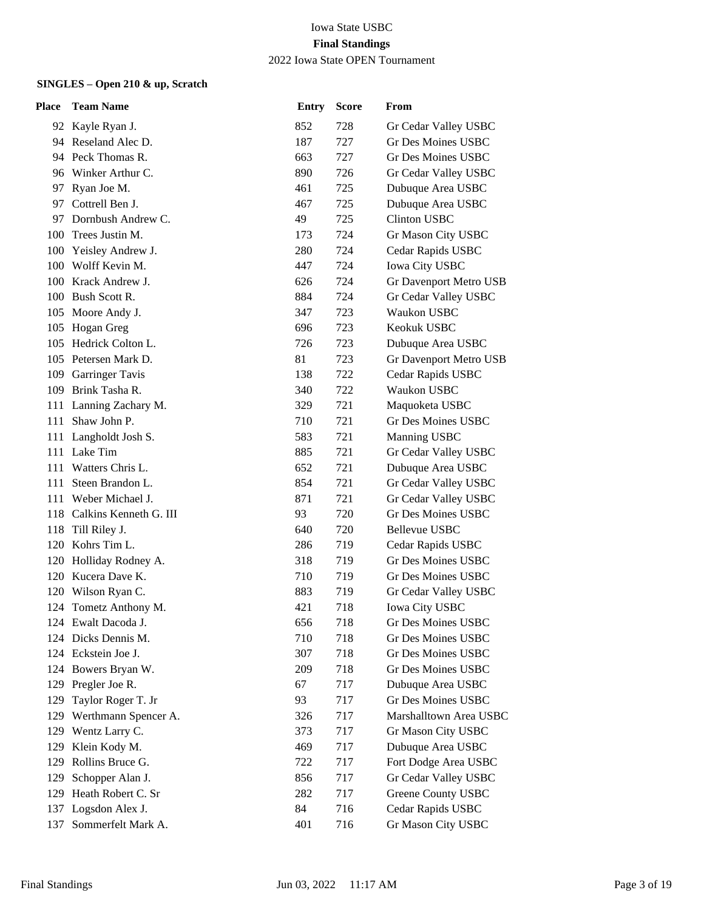| <b>Place</b> | <b>Team Name</b>           | <b>Entry</b> | <b>Score</b> | From                      |
|--------------|----------------------------|--------------|--------------|---------------------------|
|              | 92 Kayle Ryan J.           | 852          | 728          | Gr Cedar Valley USBC      |
|              | 94 Reseland Alec D.        | 187          | 727          | Gr Des Moines USBC        |
|              | 94 Peck Thomas R.          | 663          | 727          | Gr Des Moines USBC        |
|              | 96 Winker Arthur C.        | 890          | 726          | Gr Cedar Valley USBC      |
|              | 97 Ryan Joe M.             | 461          | 725          | Dubuque Area USBC         |
|              | 97 Cottrell Ben J.         | 467          | 725          | Dubuque Area USBC         |
| 97           | Dornbush Andrew C.         | 49           | 725          | <b>Clinton USBC</b>       |
|              | 100 Trees Justin M.        | 173          | 724          | Gr Mason City USBC        |
|              | 100 Yeisley Andrew J.      | 280          | 724          | Cedar Rapids USBC         |
|              | 100 Wolff Kevin M.         | 447          | 724          | <b>Iowa City USBC</b>     |
|              | 100 Krack Andrew J.        | 626          | 724          | Gr Davenport Metro USB    |
|              | 100 Bush Scott R.          | 884          | 724          | Gr Cedar Valley USBC      |
|              | 105 Moore Andy J.          | 347          | 723          | Waukon USBC               |
| 105          | Hogan Greg                 | 696          | 723          | Keokuk USBC               |
|              | 105 Hedrick Colton L.      | 726          | 723          | Dubuque Area USBC         |
|              | 105 Petersen Mark D.       | 81           | 723          | Gr Davenport Metro USB    |
|              | 109 Garringer Tavis        | 138          | 722          | Cedar Rapids USBC         |
|              | 109 Brink Tasha R.         | 340          | 722          | Waukon USBC               |
|              | 111 Lanning Zachary M.     | 329          | 721          | Maquoketa USBC            |
| 111          | Shaw John P.               | 710          | 721          | Gr Des Moines USBC        |
|              | 111 Langholdt Josh S.      | 583          | 721          | Manning USBC              |
|              | 111 Lake Tim               | 885          | 721          | Gr Cedar Valley USBC      |
| 111          | Watters Chris L.           | 652          | 721          | Dubuque Area USBC         |
| 111          | Steen Brandon L.           | 854          | 721          | Gr Cedar Valley USBC      |
|              | 111 Weber Michael J.       | 871          | 721          | Gr Cedar Valley USBC      |
|              | 118 Calkins Kenneth G. III | 93           | 720          | Gr Des Moines USBC        |
| 118          | Till Riley J.              | 640          | 720          | <b>Bellevue USBC</b>      |
|              | 120 Kohrs Tim L.           | 286          | 719          | Cedar Rapids USBC         |
|              | 120 Holliday Rodney A.     | 318          | 719          | <b>Gr Des Moines USBC</b> |
|              | 120 Kucera Dave K.         | 710          | 719          | Gr Des Moines USBC        |
|              | 120 Wilson Ryan C.         | 883          | 719          | Gr Cedar Valley USBC      |
|              | 124 Tometz Anthony M.      | 421          | 718          | <b>Iowa City USBC</b>     |
|              | 124 Ewalt Dacoda J.        | 656          | 718          | Gr Des Moines USBC        |
|              | 124 Dicks Dennis M.        | 710          | 718          | <b>Gr Des Moines USBC</b> |
|              | 124 Eckstein Joe J.        | 307          | 718          | Gr Des Moines USBC        |
| 124          | Bowers Bryan W.            | 209          | 718          | <b>Gr Des Moines USBC</b> |
|              | 129 Pregler Joe R.         | 67           | 717          | Dubuque Area USBC         |
| 129          | Taylor Roger T. Jr         | 93           | 717          | <b>Gr Des Moines USBC</b> |
| 129          | Werthmann Spencer A.       | 326          | 717          | Marshalltown Area USBC    |
| 129          | Wentz Larry C.             | 373          | 717          | Gr Mason City USBC        |
| 129          | Klein Kody M.              | 469          | 717          | Dubuque Area USBC         |
| 129          | Rollins Bruce G.           | 722          | 717          | Fort Dodge Area USBC      |
| 129          | Schopper Alan J.           | 856          | 717          | Gr Cedar Valley USBC      |
| 129          | Heath Robert C. Sr         | 282          | 717          | <b>Greene County USBC</b> |
|              | 137 Logsdon Alex J.        | 84           | 716          | Cedar Rapids USBC         |
| 137          | Sommerfelt Mark A.         | 401          | 716          | Gr Mason City USBC        |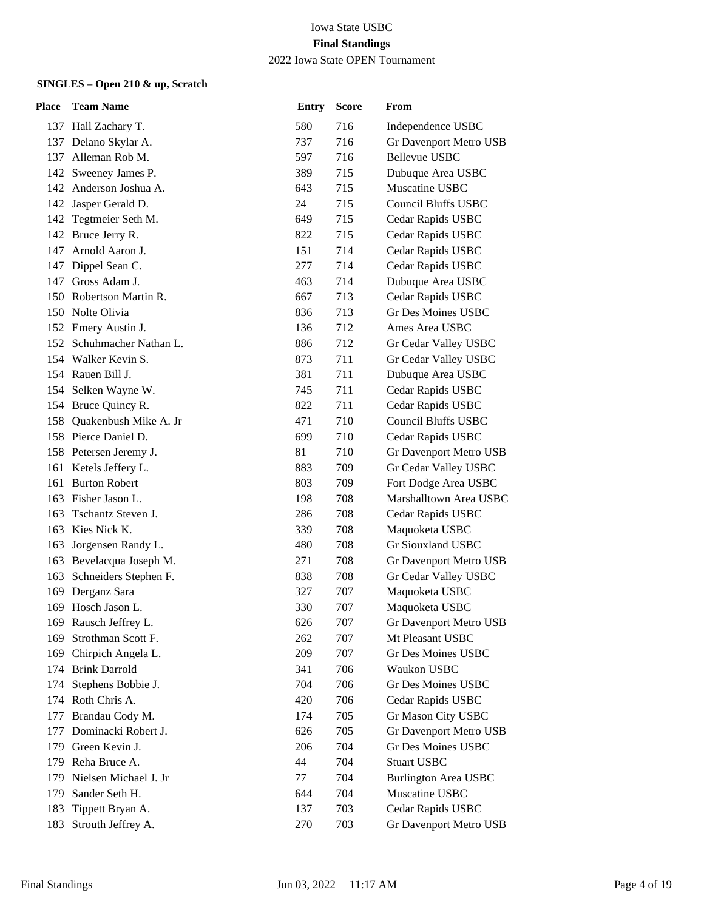| Place | <b>Team Name</b>          | <b>Entry</b> | <b>Score</b> | From                        |
|-------|---------------------------|--------------|--------------|-----------------------------|
|       | 137 Hall Zachary T.       | 580          | 716          | Independence USBC           |
|       | 137 Delano Skylar A.      | 737          | 716          | Gr Davenport Metro USB      |
| 137   | Alleman Rob M.            | 597          | 716          | <b>Bellevue USBC</b>        |
| 142   | Sweeney James P.          | 389          | 715          | Dubuque Area USBC           |
|       | 142 Anderson Joshua A.    | 643          | 715          | Muscatine USBC              |
|       | 142 Jasper Gerald D.      | 24           | 715          | <b>Council Bluffs USBC</b>  |
| 142   | Tegtmeier Seth M.         | 649          | 715          | Cedar Rapids USBC           |
|       | 142 Bruce Jerry R.        | 822          | 715          | Cedar Rapids USBC           |
|       | 147 Arnold Aaron J.       | 151          | 714          | Cedar Rapids USBC           |
| 147   | Dippel Sean C.            | 277          | 714          | Cedar Rapids USBC           |
| 147   | Gross Adam J.             | 463          | 714          | Dubuque Area USBC           |
|       | 150 Robertson Martin R.   | 667          | 713          | Cedar Rapids USBC           |
|       | 150 Nolte Olivia          | 836          | 713          | <b>Gr Des Moines USBC</b>   |
|       | 152 Emery Austin J.       | 136          | 712          | Ames Area USBC              |
|       | 152 Schuhmacher Nathan L. | 886          | 712          | Gr Cedar Valley USBC        |
|       | 154 Walker Kevin S.       | 873          | 711          | Gr Cedar Valley USBC        |
|       | 154 Rauen Bill J.         | 381          | 711          | Dubuque Area USBC           |
|       | 154 Selken Wayne W.       | 745          | 711          | Cedar Rapids USBC           |
|       | 154 Bruce Quincy R.       | 822          | 711          | Cedar Rapids USBC           |
| 158   | Quakenbush Mike A. Jr     | 471          | 710          | <b>Council Bluffs USBC</b>  |
|       | 158 Pierce Daniel D.      | 699          | 710          | Cedar Rapids USBC           |
|       | 158 Petersen Jeremy J.    | 81           | 710          | Gr Davenport Metro USB      |
|       | 161 Ketels Jeffery L.     | 883          | 709          | Gr Cedar Valley USBC        |
| 161   | <b>Burton Robert</b>      | 803          | 709          | Fort Dodge Area USBC        |
|       | 163 Fisher Jason L.       | 198          | 708          | Marshalltown Area USBC      |
| 163   | Tschantz Steven J.        | 286          | 708          | Cedar Rapids USBC           |
|       | 163 Kies Nick K.          | 339          | 708          | Maquoketa USBC              |
| 163   | Jorgensen Randy L.        | 480          | 708          | Gr Siouxland USBC           |
|       | 163 Bevelacqua Joseph M.  | 271          | 708          | Gr Davenport Metro USB      |
| 163   | Schneiders Stephen F.     | 838          | 708          | Gr Cedar Valley USBC        |
| 169   | Derganz Sara              | 327          | 707          | Maquoketa USBC              |
|       | 169 Hosch Jason L.        | 330          | 707          | Maquoketa USBC              |
|       | 169 Rausch Jeffrey L.     | 626          | 707          | Gr Davenport Metro USB      |
| 169   | Strothman Scott F.        | 262          | 707          | Mt Pleasant USBC            |
| 169   | Chirpich Angela L.        | 209          | 707          | <b>Gr Des Moines USBC</b>   |
| 174   | <b>Brink Darrold</b>      | 341          | 706          | Waukon USBC                 |
| 174   | Stephens Bobbie J.        | 704          | 706          | Gr Des Moines USBC          |
|       | 174 Roth Chris A.         | 420          | 706          | Cedar Rapids USBC           |
| 177   | Brandau Cody M.           | 174          | 705          | Gr Mason City USBC          |
| 177   | Dominacki Robert J.       | 626          | 705          | Gr Davenport Metro USB      |
| 179   | Green Kevin J.            | 206          | 704          | Gr Des Moines USBC          |
| 179   | Reha Bruce A.             | 44           | 704          | <b>Stuart USBC</b>          |
| 179   | Nielsen Michael J. Jr     | 77           | 704          | <b>Burlington Area USBC</b> |
| 179   | Sander Seth H.            | 644          | 704          | Muscatine USBC              |
| 183   | Tippett Bryan A.          | 137          | 703          | Cedar Rapids USBC           |
| 183   | Strouth Jeffrey A.        | 270          | 703          | Gr Davenport Metro USB      |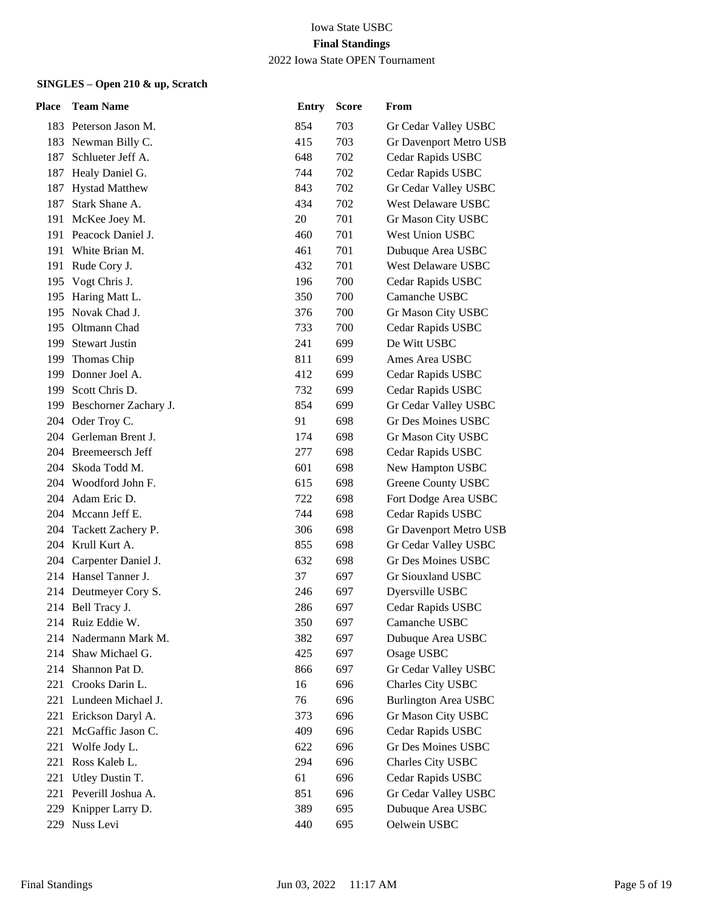| Place | <b>Team Name</b>          | <b>Entry</b> | <b>Score</b> | From                        |
|-------|---------------------------|--------------|--------------|-----------------------------|
|       | 183 Peterson Jason M.     | 854          | 703          | Gr Cedar Valley USBC        |
|       | 183 Newman Billy C.       | 415          | 703          | Gr Davenport Metro USB      |
| 187   | Schlueter Jeff A.         | 648          | 702          | Cedar Rapids USBC           |
| 187   | Healy Daniel G.           | 744          | 702          | Cedar Rapids USBC           |
|       | 187 Hystad Matthew        | 843          | 702          | Gr Cedar Valley USBC        |
| 187   | Stark Shane A.            | 434          | 702          | West Delaware USBC          |
| 191   | McKee Joey M.             | 20           | 701          | Gr Mason City USBC          |
|       | 191 Peacock Daniel J.     | 460          | 701          | West Union USBC             |
|       | 191 White Brian M.        | 461          | 701          | Dubuque Area USBC           |
|       | 191 Rude Cory J.          | 432          | 701          | <b>West Delaware USBC</b>   |
|       | 195 Vogt Chris J.         | 196          | 700          | Cedar Rapids USBC           |
|       | 195 Haring Matt L.        | 350          | 700          | Camanche USBC               |
|       | 195 Novak Chad J.         | 376          | 700          | Gr Mason City USBC          |
|       | 195 Oltmann Chad          | 733          | 700          | Cedar Rapids USBC           |
|       | 199 Stewart Justin        | 241          | 699          | De Witt USBC                |
|       | 199 Thomas Chip           | 811          | 699          | Ames Area USBC              |
|       | 199 Donner Joel A.        | 412          | 699          | Cedar Rapids USBC           |
|       | 199 Scott Chris D.        | 732          | 699          | Cedar Rapids USBC           |
|       | 199 Beschorner Zachary J. | 854          | 699          | Gr Cedar Valley USBC        |
| 204   | Oder Troy C.              | 91           | 698          | <b>Gr Des Moines USBC</b>   |
|       | 204 Gerleman Brent J.     | 174          | 698          | Gr Mason City USBC          |
|       | 204 Breemeersch Jeff      | 277          | 698          | Cedar Rapids USBC           |
| 204   | Skoda Todd M.             | 601          | 698          | New Hampton USBC            |
|       | 204 Woodford John F.      | 615          | 698          | Greene County USBC          |
|       | 204 Adam Eric D.          | 722          | 698          | Fort Dodge Area USBC        |
|       | 204 Mccann Jeff E.        | 744          | 698          | Cedar Rapids USBC           |
|       | 204 Tackett Zachery P.    | 306          | 698          | Gr Davenport Metro USB      |
|       | 204 Krull Kurt A.         | 855          | 698          | Gr Cedar Valley USBC        |
|       | 204 Carpenter Daniel J.   | 632          | 698          | <b>Gr Des Moines USBC</b>   |
|       | 214 Hansel Tanner J.      | 37           | 697          | Gr Siouxland USBC           |
| 214   | Deutmeyer Cory S.         | 246          | 697          | Dyersville USBC             |
|       | 214 Bell Tracy J.         | 286          | 697          | Cedar Rapids USBC           |
|       | 214 Ruiz Eddie W.         | 350          | 697          | Camanche USBC               |
| 214   | Nadermann Mark M.         | 382          | 697          | Dubuque Area USBC           |
| 214   | Shaw Michael G.           | 425          | 697          | Osage USBC                  |
| 214   | Shannon Pat D.            | 866          | 697          | Gr Cedar Valley USBC        |
|       | 221 Crooks Darin L.       | 16           | 696          | Charles City USBC           |
|       | 221 Lundeen Michael J.    | 76           | 696          | <b>Burlington Area USBC</b> |
| 221   | Erickson Daryl A.         | 373          | 696          | Gr Mason City USBC          |
| 221   | McGaffic Jason C.         | 409          | 696          | Cedar Rapids USBC           |
| 221   | Wolfe Jody L.             | 622          | 696          | Gr Des Moines USBC          |
| 221   | Ross Kaleb L.             | 294          | 696          | Charles City USBC           |
| 221   | Utley Dustin T.           | 61           | 696          | Cedar Rapids USBC           |
| 221   | Peverill Joshua A.        | 851          | 696          | Gr Cedar Valley USBC        |
| 229   | Knipper Larry D.          | 389          | 695          | Dubuque Area USBC           |
| 229   | Nuss Levi                 | 440          | 695          | Oelwein USBC                |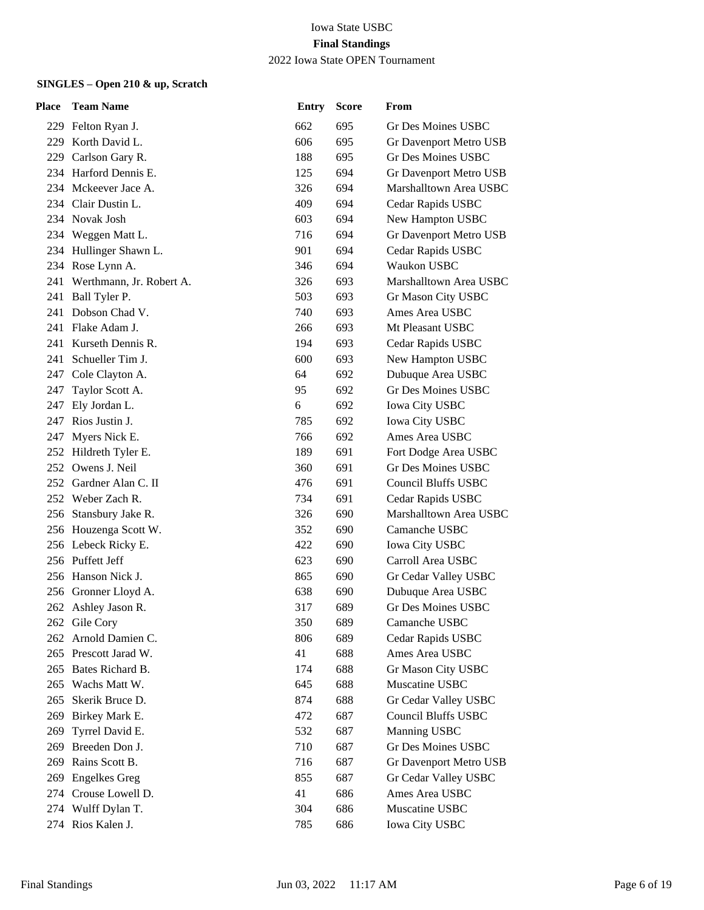| <b>Place</b> | <b>Team Name</b>             | <b>Entry</b> | <b>Score</b> | From                       |
|--------------|------------------------------|--------------|--------------|----------------------------|
|              | 229 Felton Ryan J.           | 662          | 695          | Gr Des Moines USBC         |
|              | 229 Korth David L.           | 606          | 695          | Gr Davenport Metro USB     |
| 229          | Carlson Gary R.              | 188          | 695          | Gr Des Moines USBC         |
|              | 234 Harford Dennis E.        | 125          | 694          | Gr Davenport Metro USB     |
|              | 234 Mckeever Jace A.         | 326          | 694          | Marshalltown Area USBC     |
|              | 234 Clair Dustin L.          | 409          | 694          | Cedar Rapids USBC          |
|              | 234 Novak Josh               | 603          | 694          | New Hampton USBC           |
|              | 234 Weggen Matt L.           | 716          | 694          | Gr Davenport Metro USB     |
|              | 234 Hullinger Shawn L.       | 901          | 694          | Cedar Rapids USBC          |
|              | 234 Rose Lynn A.             | 346          | 694          | Waukon USBC                |
|              | 241 Werthmann, Jr. Robert A. | 326          | 693          | Marshalltown Area USBC     |
|              | 241 Ball Tyler P.            | 503          | 693          | Gr Mason City USBC         |
|              | 241 Dobson Chad V.           | 740          | 693          | Ames Area USBC             |
|              | 241 Flake Adam J.            | 266          | 693          | Mt Pleasant USBC           |
| 241          | Kurseth Dennis R.            | 194          | 693          | Cedar Rapids USBC          |
| 241          | Schueller Tim J.             | 600          | 693          | New Hampton USBC           |
|              | 247 Cole Clayton A.          | 64           | 692          | Dubuque Area USBC          |
| 247          | Taylor Scott A.              | 95           | 692          | Gr Des Moines USBC         |
| 247          | Ely Jordan L.                | 6            | 692          | Iowa City USBC             |
| 247 -        | Rios Justin J.               | 785          | 692          | Iowa City USBC             |
| 247          | Myers Nick E.                | 766          | 692          | Ames Area USBC             |
|              | 252 Hildreth Tyler E.        | 189          | 691          | Fort Dodge Area USBC       |
|              | 252 Owens J. Neil            | 360          | 691          | <b>Gr Des Moines USBC</b>  |
|              | 252 Gardner Alan C. II       | 476          | 691          | <b>Council Bluffs USBC</b> |
|              | 252 Weber Zach R.            | 734          | 691          | Cedar Rapids USBC          |
|              | 256 Stansbury Jake R.        | 326          | 690          | Marshalltown Area USBC     |
|              | 256 Houzenga Scott W.        | 352          | 690          | Camanche USBC              |
|              | 256 Lebeck Ricky E.          | 422          | 690          | Iowa City USBC             |
|              | 256 Puffett Jeff             | 623          | 690          | Carroll Area USBC          |
|              | 256 Hanson Nick J.           | 865          | 690          | Gr Cedar Valley USBC       |
|              | 256 Gronner Lloyd A.         | 638          | 690          | Dubuque Area USBC          |
|              | 262 Ashley Jason R.          | 317          | 689          | <b>Gr Des Moines USBC</b>  |
|              | 262 Gile Cory                | 350          | 689          | Camanche USBC              |
|              | 262 Arnold Damien C.         | 806          | 689          | Cedar Rapids USBC          |
|              | 265 Prescott Jarad W.        | 41           | 688          | Ames Area USBC             |
|              | 265 Bates Richard B.         | 174          | 688          | Gr Mason City USBC         |
|              | 265 Wachs Matt W.            | 645          | 688          | Muscatine USBC             |
| 265          | Skerik Bruce D.              | 874          | 688          | Gr Cedar Valley USBC       |
| 269          | Birkey Mark E.               | 472          | 687          | <b>Council Bluffs USBC</b> |
| 269          | Tyrrel David E.              | 532          | 687          | Manning USBC               |
| 269          | Breeden Don J.               | 710          | 687          | <b>Gr Des Moines USBC</b>  |
| 269          | Rains Scott B.               | 716          | 687          | Gr Davenport Metro USB     |
| 269          | <b>Engelkes Greg</b>         | 855          | 687          | Gr Cedar Valley USBC       |
| 274          | Crouse Lowell D.             | 41           | 686          | Ames Area USBC             |
|              | 274 Wulff Dylan T.           | 304          | 686          | Muscatine USBC             |
|              | 274 Rios Kalen J.            | 785          | 686          | Iowa City USBC             |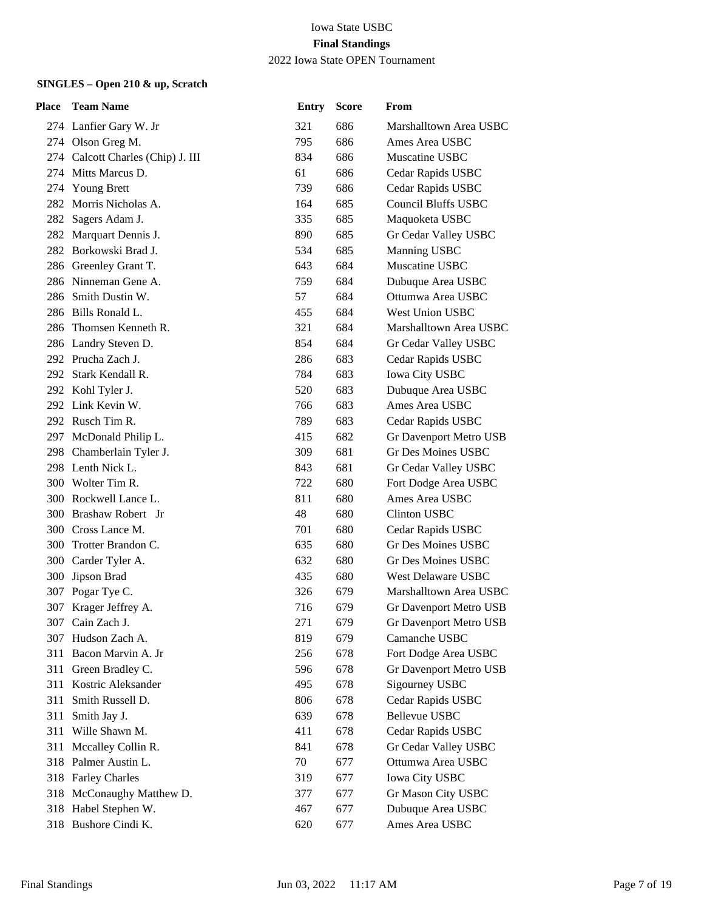| Place | <b>Team Name</b>                  | <b>Entry</b> | <b>Score</b> | From                       |
|-------|-----------------------------------|--------------|--------------|----------------------------|
|       | 274 Lanfier Gary W. Jr            | 321          | 686          | Marshalltown Area USBC     |
|       | 274 Olson Greg M.                 | 795          | 686          | Ames Area USBC             |
|       | 274 Calcott Charles (Chip) J. III | 834          | 686          | Muscatine USBC             |
|       | 274 Mitts Marcus D.               | 61           | 686          | Cedar Rapids USBC          |
|       | 274 Young Brett                   | 739          | 686          | Cedar Rapids USBC          |
|       | 282 Morris Nicholas A.            | 164          | 685          | <b>Council Bluffs USBC</b> |
|       | 282 Sagers Adam J.                | 335          | 685          | Maquoketa USBC             |
| 282   | Marquart Dennis J.                | 890          | 685          | Gr Cedar Valley USBC       |
|       | 282 Borkowski Brad J.             | 534          | 685          | Manning USBC               |
|       | 286 Greenley Grant T.             | 643          | 684          | Muscatine USBC             |
|       | 286 Ninneman Gene A.              | 759          | 684          | Dubuque Area USBC          |
| 286   | Smith Dustin W.                   | 57           | 684          | Ottumwa Area USBC          |
|       | 286 Bills Ronald L.               | 455          | 684          | West Union USBC            |
|       | 286 Thomsen Kenneth R.            | 321          | 684          | Marshalltown Area USBC     |
|       | 286 Landry Steven D.              | 854          | 684          | Gr Cedar Valley USBC       |
|       | 292 Prucha Zach J.                | 286          | 683          | Cedar Rapids USBC          |
|       | 292 Stark Kendall R.              | 784          | 683          | Iowa City USBC             |
|       | 292 Kohl Tyler J.                 | 520          | 683          | Dubuque Area USBC          |
|       | 292 Link Kevin W.                 | 766          | 683          | Ames Area USBC             |
|       | 292 Rusch Tim R.                  | 789          | 683          | Cedar Rapids USBC          |
|       | 297 McDonald Philip L.            | 415          | 682          | Gr Davenport Metro USB     |
|       | 298 Chamberlain Tyler J.          | 309          | 681          | Gr Des Moines USBC         |
|       | 298 Lenth Nick L.                 | 843          | 681          | Gr Cedar Valley USBC       |
|       | 300 Wolter Tim R.                 | 722          | 680          | Fort Dodge Area USBC       |
|       | 300 Rockwell Lance L.             | 811          | 680          | Ames Area USBC             |
|       | 300 Brashaw Robert Jr             | 48           | 680          | <b>Clinton USBC</b>        |
|       | 300 Cross Lance M.                | 701          | 680          | Cedar Rapids USBC          |
| 300   | Trotter Brandon C.                | 635          | 680          | <b>Gr Des Moines USBC</b>  |
|       | 300 Carder Tyler A.               | 632          | 680          | <b>Gr Des Moines USBC</b>  |
|       | 300 Jipson Brad                   | 435          | 680          | West Delaware USBC         |
|       | 307 Pogar Tye C.                  | 326          | 679          | Marshalltown Area USBC     |
|       | 307 Krager Jeffrey A.             | 716          | 679          | Gr Davenport Metro USB     |
|       | 307 Cain Zach J.                  | 271          | 679          | Gr Davenport Metro USB     |
|       | 307 Hudson Zach A.                | 819          | 679          | Camanche USBC              |
| 311   | Bacon Marvin A. Jr                | 256          | 678          | Fort Dodge Area USBC       |
| 311   | Green Bradley C.                  | 596          | 678          | Gr Davenport Metro USB     |
| 311   | Kostric Aleksander                | 495          | 678          | Sigourney USBC             |
| 311   | Smith Russell D.                  | 806          | 678          | Cedar Rapids USBC          |
| 311   | Smith Jay J.                      | 639          | 678          | <b>Bellevue USBC</b>       |
| 311   | Wille Shawn M.                    | 411          | 678          | Cedar Rapids USBC          |
|       | 311 Mccalley Collin R.            | 841          | 678          | Gr Cedar Valley USBC       |
|       | 318 Palmer Austin L.              | 70           | 677          | Ottumwa Area USBC          |
|       | 318 Farley Charles                | 319          | 677          | Iowa City USBC             |
| 318   | McConaughy Matthew D.             | 377          | 677          | Gr Mason City USBC         |
|       | 318 Habel Stephen W.              | 467          | 677          | Dubuque Area USBC          |
|       | 318 Bushore Cindi K.              | 620          | 677          | Ames Area USBC             |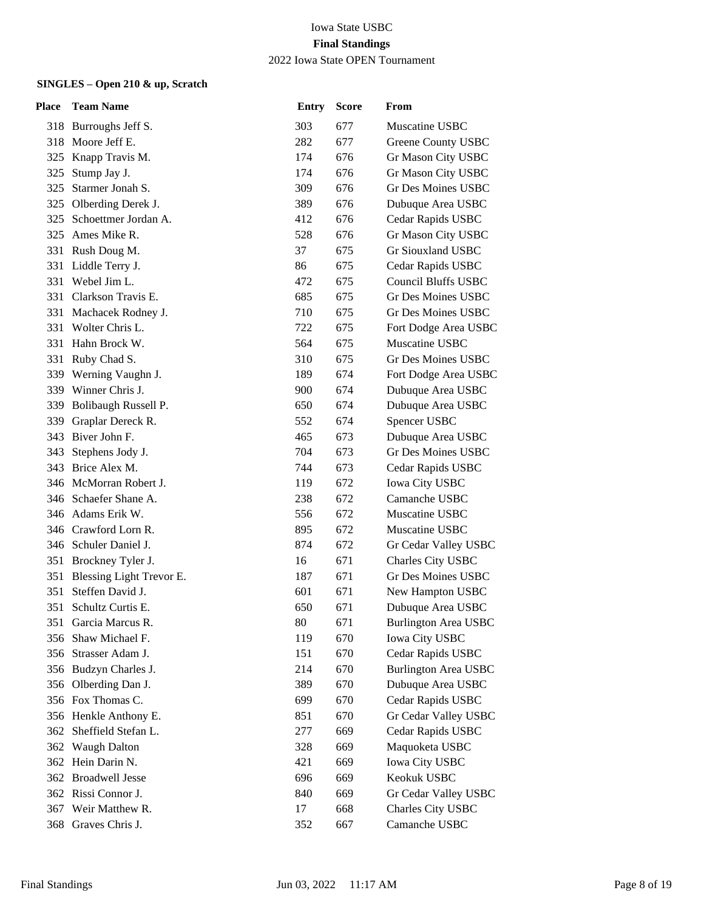| Place | <b>Team Name</b>         | <b>Entry</b> | <b>Score</b> | From                        |
|-------|--------------------------|--------------|--------------|-----------------------------|
|       | 318 Burroughs Jeff S.    | 303          | 677          | Muscatine USBC              |
|       | 318 Moore Jeff E.        | 282          | 677          | <b>Greene County USBC</b>   |
| 325   | Knapp Travis M.          | 174          | 676          | Gr Mason City USBC          |
| 325   | Stump Jay J.             | 174          | 676          | Gr Mason City USBC          |
| 325   | Starmer Jonah S.         | 309          | 676          | <b>Gr Des Moines USBC</b>   |
| 325   | Olberding Derek J.       | 389          | 676          | Dubuque Area USBC           |
| 325   | Schoettmer Jordan A.     | 412          | 676          | Cedar Rapids USBC           |
| 325   | Ames Mike R.             | 528          | 676          | Gr Mason City USBC          |
|       | 331 Rush Doug M.         | 37           | 675          | Gr Siouxland USBC           |
|       | 331 Liddle Terry J.      | 86           | 675          | Cedar Rapids USBC           |
| 331   | Webel Jim L.             | 472          | 675          | <b>Council Bluffs USBC</b>  |
|       | 331 Clarkson Travis E.   | 685          | 675          | Gr Des Moines USBC          |
|       | 331 Machacek Rodney J.   | 710          | 675          | Gr Des Moines USBC          |
|       | 331 Wolter Chris L.      | 722          | 675          | Fort Dodge Area USBC        |
| 331   | Hahn Brock W.            | 564          | 675          | Muscatine USBC              |
| 331   | Ruby Chad S.             | 310          | 675          | Gr Des Moines USBC          |
| 339   | Werning Vaughn J.        | 189          | 674          | Fort Dodge Area USBC        |
|       | 339 Winner Chris J.      | 900          | 674          | Dubuque Area USBC           |
|       | 339 Bolibaugh Russell P. | 650          | 674          | Dubuque Area USBC           |
| 339   | Graplar Dereck R.        | 552          | 674          | Spencer USBC                |
|       | 343 Biver John F.        | 465          | 673          | Dubuque Area USBC           |
| 343   | Stephens Jody J.         | 704          | 673          | <b>Gr Des Moines USBC</b>   |
| 343   | Brice Alex M.            | 744          | 673          | Cedar Rapids USBC           |
|       | 346 McMorran Robert J.   | 119          | 672          | <b>Iowa City USBC</b>       |
|       | 346 Schaefer Shane A.    | 238          | 672          | Camanche USBC               |
|       | 346 Adams Erik W.        | 556          | 672          | Muscatine USBC              |
|       | 346 Crawford Lorn R.     | 895          | 672          | Muscatine USBC              |
|       | 346 Schuler Daniel J.    | 874          | 672          | Gr Cedar Valley USBC        |
|       | 351 Brockney Tyler J.    | 16           | 671          | Charles City USBC           |
| 351   | Blessing Light Trevor E. | 187          | 671          | <b>Gr Des Moines USBC</b>   |
| 351   | Steffen David J.         | 601          | 671          | New Hampton USBC            |
| 351   | Schultz Curtis E.        | 650          | 671          | Dubuque Area USBC           |
|       | 351 Garcia Marcus R.     | 80           | 671          | <b>Burlington Area USBC</b> |
| 356   | Shaw Michael F.          | 119          | 670          | <b>Iowa City USBC</b>       |
| 356   | Strasser Adam J.         | 151          | 670          | Cedar Rapids USBC           |
|       | 356 Budzyn Charles J.    | 214          | 670          | <b>Burlington Area USBC</b> |
|       | 356 Olberding Dan J.     | 389          | 670          | Dubuque Area USBC           |
|       | 356 Fox Thomas C.        | 699          | 670          | Cedar Rapids USBC           |
|       | 356 Henkle Anthony E.    | 851          | 670          | Gr Cedar Valley USBC        |
| 362   | Sheffield Stefan L.      | 277          | 669          | Cedar Rapids USBC           |
| 362   | <b>Waugh Dalton</b>      | 328          | 669          | Maquoketa USBC              |
| 362   | Hein Darin N.            | 421          | 669          | <b>Iowa City USBC</b>       |
|       | 362 Broadwell Jesse      | 696          | 669          | Keokuk USBC                 |
|       | 362 Rissi Connor J.      | 840          | 669          | Gr Cedar Valley USBC        |
| 367   | Weir Matthew R.          | 17           | 668          | Charles City USBC           |
|       | 368 Graves Chris J.      | 352          | 667          | Camanche USBC               |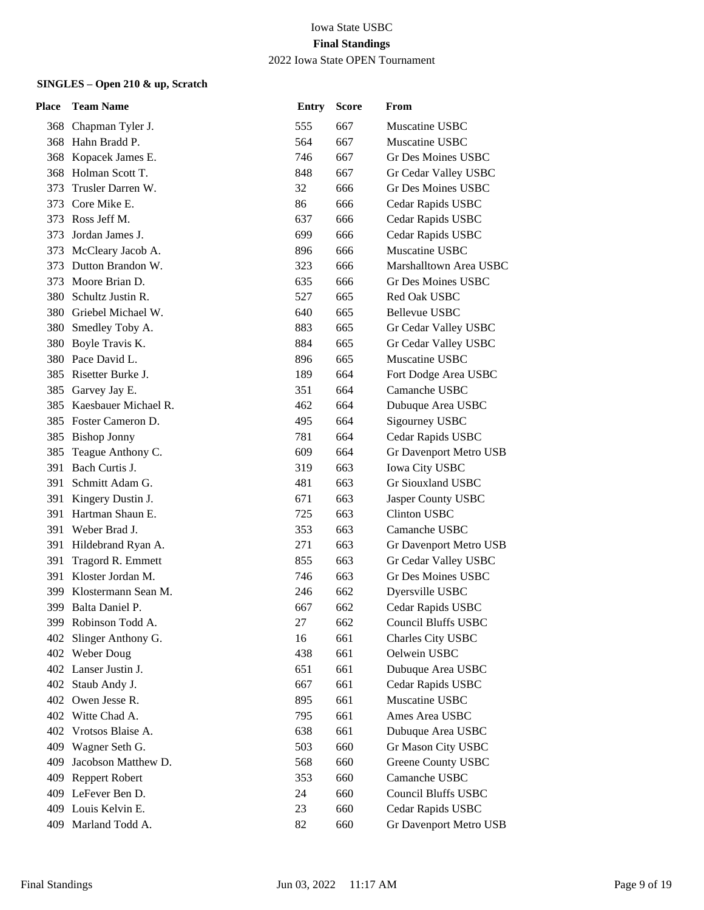| Place | <b>Team Name</b>      | <b>Entry</b> | <b>Score</b> | From                       |
|-------|-----------------------|--------------|--------------|----------------------------|
|       | 368 Chapman Tyler J.  | 555          | 667          | Muscatine USBC             |
|       | 368 Hahn Bradd P.     | 564          | 667          | Muscatine USBC             |
|       | 368 Kopacek James E.  | 746          | 667          | Gr Des Moines USBC         |
| 368   | Holman Scott T.       | 848          | 667          | Gr Cedar Valley USBC       |
| 373   | Trusler Darren W.     | 32           | 666          | <b>Gr Des Moines USBC</b>  |
| 373   | Core Mike E.          | 86           | 666          | Cedar Rapids USBC          |
| 373   | Ross Jeff M.          | 637          | 666          | Cedar Rapids USBC          |
| 373   | Jordan James J.       | 699          | 666          | Cedar Rapids USBC          |
| 373   | McCleary Jacob A.     | 896          | 666          | Muscatine USBC             |
| 373   | Dutton Brandon W.     | 323          | 666          | Marshalltown Area USBC     |
| 373   | Moore Brian D.        | 635          | 666          | Gr Des Moines USBC         |
| 380   | Schultz Justin R.     | 527          | 665          | Red Oak USBC               |
| 380   | Griebel Michael W.    | 640          | 665          | Bellevue USBC              |
| 380   | Smedley Toby A.       | 883          | 665          | Gr Cedar Valley USBC       |
| 380   | Boyle Travis K.       | 884          | 665          | Gr Cedar Valley USBC       |
| 380   | Pace David L.         | 896          | 665          | Muscatine USBC             |
| 385   | Risetter Burke J.     | 189          | 664          | Fort Dodge Area USBC       |
|       | 385 Garvey Jay E.     | 351          | 664          | Camanche USBC              |
| 385   | Kaesbauer Michael R.  | 462          | 664          | Dubuque Area USBC          |
| 385   | Foster Cameron D.     | 495          | 664          | Sigourney USBC             |
| 385   | <b>Bishop Jonny</b>   | 781          | 664          | Cedar Rapids USBC          |
| 385   | Teague Anthony C.     | 609          | 664          | Gr Davenport Metro USB     |
| 391   | Bach Curtis J.        | 319          | 663          | Iowa City USBC             |
| 391   | Schmitt Adam G.       | 481          | 663          | Gr Siouxland USBC          |
| 391   | Kingery Dustin J.     | 671          | 663          | Jasper County USBC         |
|       | 391 Hartman Shaun E.  | 725          | 663          | <b>Clinton USBC</b>        |
| 391   | Weber Brad J.         | 353          | 663          | Camanche USBC              |
| 391   | Hildebrand Ryan A.    | 271          | 663          | Gr Davenport Metro USB     |
| 391   | Tragord R. Emmett     | 855          | 663          | Gr Cedar Valley USBC       |
|       | 391 Kloster Jordan M. | 746          | 663          | Gr Des Moines USBC         |
| 399   | Klostermann Sean M.   | 246          | 662          | Dyersville USBC            |
|       | 399 Balta Daniel P.   | 667          | 662          | Cedar Rapids USBC          |
|       | 399 Robinson Todd A.  | 27           | 662          | <b>Council Bluffs USBC</b> |
| 402   | Slinger Anthony G.    | 16           | 661          | Charles City USBC          |
|       | 402 Weber Doug        | 438          | 661          | Oelwein USBC               |
|       | 402 Lanser Justin J.  | 651          | 661          | Dubuque Area USBC          |
| 402   | Staub Andy J.         | 667          | 661          | Cedar Rapids USBC          |
|       | 402 Owen Jesse R.     | 895          | 661          | Muscatine USBC             |
|       | 402 Witte Chad A.     | 795          | 661          | Ames Area USBC             |
| 402   | Vrotsos Blaise A.     | 638          | 661          | Dubuque Area USBC          |
| 409   | Wagner Seth G.        | 503          | 660          | Gr Mason City USBC         |
| 409   | Jacobson Matthew D.   | 568          | 660          | Greene County USBC         |
| 409   | <b>Reppert Robert</b> | 353          | 660          | Camanche USBC              |
| 409   | LeFever Ben D.        | 24           | 660          | <b>Council Bluffs USBC</b> |
|       | 409 Louis Kelvin E.   | 23           | 660          | Cedar Rapids USBC          |
| 409   | Marland Todd A.       | 82           | 660          | Gr Davenport Metro USB     |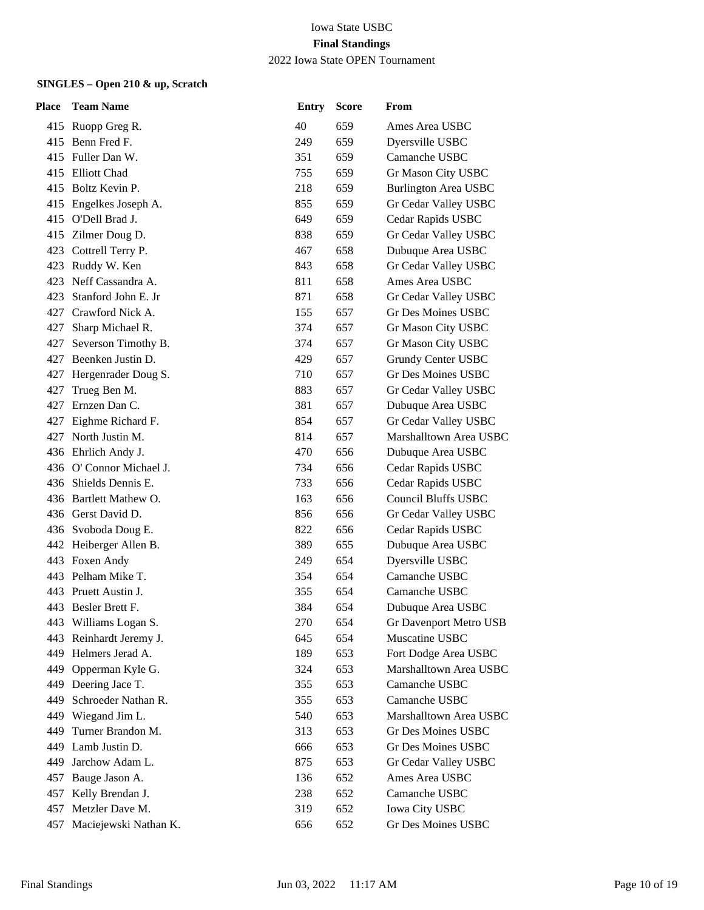| Place | <b>Team Name</b>         | <b>Entry</b> | <b>Score</b> | From                        |
|-------|--------------------------|--------------|--------------|-----------------------------|
|       | 415 Ruopp Greg R.        | 40           | 659          | Ames Area USBC              |
|       | 415 Benn Fred F.         | 249          | 659          | Dyersville USBC             |
|       | 415 Fuller Dan W.        | 351          | 659          | Camanche USBC               |
| 415   | Elliott Chad             | 755          | 659          | Gr Mason City USBC          |
| 415   | Boltz Kevin P.           | 218          | 659          | <b>Burlington Area USBC</b> |
|       | 415 Engelkes Joseph A.   | 855          | 659          | Gr Cedar Valley USBC        |
|       | 415 O'Dell Brad J.       | 649          | 659          | Cedar Rapids USBC           |
| 415   | Zilmer Doug D.           | 838          | 659          | Gr Cedar Valley USBC        |
|       | 423 Cottrell Terry P.    | 467          | 658          | Dubuque Area USBC           |
|       | 423 Ruddy W. Ken         | 843          | 658          | Gr Cedar Valley USBC        |
|       | 423 Neff Cassandra A.    | 811          | 658          | Ames Area USBC              |
| 423   | Stanford John E. Jr      | 871          | 658          | Gr Cedar Valley USBC        |
| 427   | Crawford Nick A.         | 155          | 657          | Gr Des Moines USBC          |
| 427   | Sharp Michael R.         | 374          | 657          | Gr Mason City USBC          |
| 427   | Severson Timothy B.      | 374          | 657          | Gr Mason City USBC          |
| 427   | Beenken Justin D.        | 429          | 657          | <b>Grundy Center USBC</b>   |
|       | 427 Hergenrader Doug S.  | 710          | 657          | Gr Des Moines USBC          |
| 427   | Trueg Ben M.             | 883          | 657          | Gr Cedar Valley USBC        |
| 427   | Ernzen Dan C.            | 381          | 657          | Dubuque Area USBC           |
| 427   | Eighme Richard F.        | 854          | 657          | Gr Cedar Valley USBC        |
|       | 427 North Justin M.      | 814          | 657          | Marshalltown Area USBC      |
|       | 436 Ehrlich Andy J.      | 470          | 656          | Dubuque Area USBC           |
|       | 436 O' Connor Michael J. | 734          | 656          | Cedar Rapids USBC           |
| 436-  | Shields Dennis E.        | 733          | 656          | Cedar Rapids USBC           |
|       | 436 Bartlett Mathew O.   | 163          | 656          | <b>Council Bluffs USBC</b>  |
|       | 436 Gerst David D.       | 856          | 656          | Gr Cedar Valley USBC        |
|       | 436 Svoboda Doug E.      | 822          | 656          | Cedar Rapids USBC           |
|       | 442 Heiberger Allen B.   | 389          | 655          | Dubuque Area USBC           |
|       | 443 Foxen Andy           | 249          | 654          | Dyersville USBC             |
|       | 443 Pelham Mike T.       | 354          | 654          | Camanche USBC               |
|       | 443 Pruett Austin J.     | 355          | 654          | Camanche USBC               |
|       | 443 Besler Brett F.      | 384          | 654          | Dubuque Area USBC           |
|       | 443 Williams Logan S.    | 270          | 654          | Gr Davenport Metro USB      |
|       | 443 Reinhardt Jeremy J.  | 645          | 654          | Muscatine USBC              |
| 449   | Helmers Jerad A.         | 189          | 653          | Fort Dodge Area USBC        |
| 449   | Opperman Kyle G.         | 324          | 653          | Marshalltown Area USBC      |
|       | 449 Deering Jace T.      | 355          | 653          | Camanche USBC               |
| 449   | Schroeder Nathan R.      | 355          | 653          | Camanche USBC               |
| 449   | Wiegand Jim L.           | 540          | 653          | Marshalltown Area USBC      |
| 449   | Turner Brandon M.        | 313          | 653          | <b>Gr Des Moines USBC</b>   |
| 449   | Lamb Justin D.           | 666          | 653          | Gr Des Moines USBC          |
| 449   | Jarchow Adam L.          | 875          | 653          | Gr Cedar Valley USBC        |
| 457   | Bauge Jason A.           | 136          | 652          | Ames Area USBC              |
| 457   | Kelly Brendan J.         | 238          | 652          | Camanche USBC               |
| 457   | Metzler Dave M.          | 319          | 652          | <b>Iowa City USBC</b>       |
| 457   | Maciejewski Nathan K.    | 656          | 652          | Gr Des Moines USBC          |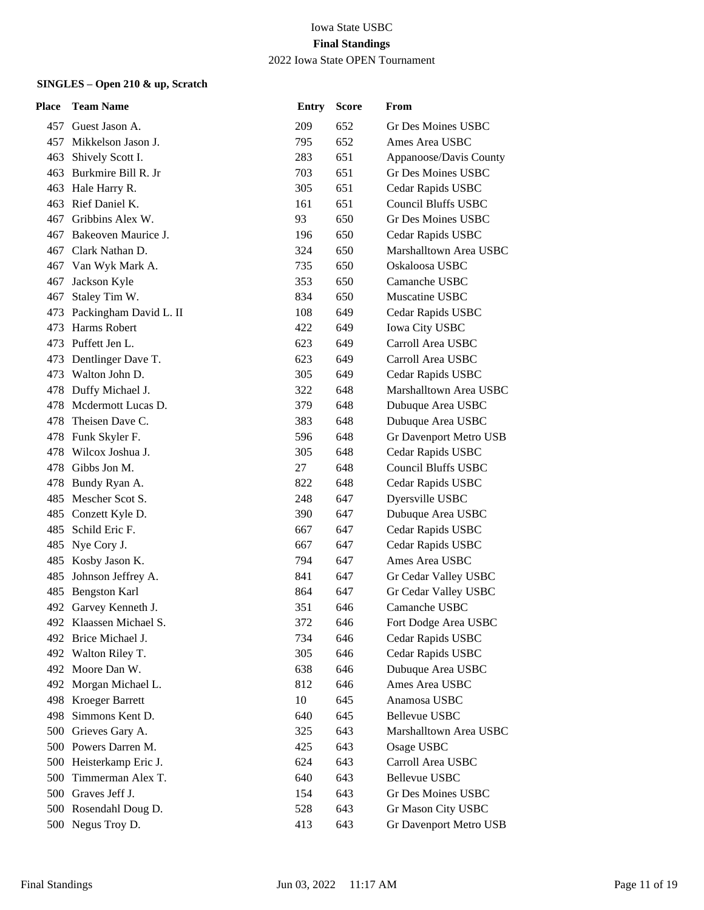| Place | <b>Team Name</b>           | <b>Entry</b> | <b>Score</b> | From                       |
|-------|----------------------------|--------------|--------------|----------------------------|
|       | 457 Guest Jason A.         | 209          | 652          | Gr Des Moines USBC         |
|       | 457 Mikkelson Jason J.     | 795          | 652          | Ames Area USBC             |
| 463   | Shively Scott I.           | 283          | 651          | Appanoose/Davis County     |
| 463   | Burkmire Bill R. Jr        | 703          | 651          | Gr Des Moines USBC         |
|       | 463 Hale Harry R.          | 305          | 651          | Cedar Rapids USBC          |
| 463   | Rief Daniel K.             | 161          | 651          | <b>Council Bluffs USBC</b> |
| 467   | Gribbins Alex W.           | 93           | 650          | Gr Des Moines USBC         |
| 467   | Bakeoven Maurice J.        | 196          | 650          | Cedar Rapids USBC          |
|       | 467 Clark Nathan D.        | 324          | 650          | Marshalltown Area USBC     |
|       | 467 Van Wyk Mark A.        | 735          | 650          | Oskaloosa USBC             |
| 467   | Jackson Kyle               | 353          | 650          | Camanche USBC              |
| 467   | Staley Tim W.              | 834          | 650          | Muscatine USBC             |
|       | 473 Packingham David L. II | 108          | 649          | Cedar Rapids USBC          |
| 473.  | Harms Robert               | 422          | 649          | Iowa City USBC             |
|       | 473 Puffett Jen L.         | 623          | 649          | Carroll Area USBC          |
| 473   | Dentlinger Dave T.         | 623          | 649          | Carroll Area USBC          |
| 473.  | Walton John D.             | 305          | 649          | Cedar Rapids USBC          |
|       | 478 Duffy Michael J.       | 322          | 648          | Marshalltown Area USBC     |
| 478.  | Mcdermott Lucas D.         | 379          | 648          | Dubuque Area USBC          |
| 478   | Theisen Dave C.            | 383          | 648          | Dubuque Area USBC          |
|       | 478 Funk Skyler F.         | 596          | 648          | Gr Davenport Metro USB     |
|       | 478 Wilcox Joshua J.       | 305          | 648          | Cedar Rapids USBC          |
| 478   | Gibbs Jon M.               | 27           | 648          | <b>Council Bluffs USBC</b> |
| 478.  | Bundy Ryan A.              | 822          | 648          | Cedar Rapids USBC          |
|       | 485 Mescher Scot S.        | 248          | 647          | Dyersville USBC            |
|       | 485 Conzett Kyle D.        | 390          | 647          | Dubuque Area USBC          |
| 485   | Schild Eric F.             | 667          | 647          | Cedar Rapids USBC          |
| 485   | Nye Cory J.                | 667          | 647          | Cedar Rapids USBC          |
|       | 485 Kosby Jason K.         | 794          | 647          | Ames Area USBC             |
|       | 485 Johnson Jeffrey A.     | 841          | 647          | Gr Cedar Valley USBC       |
|       | 485 Bengston Karl          | 864          | 647          | Gr Cedar Valley USBC       |
|       | 492 Garvey Kenneth J.      | 351          | 646          | Camanche USBC              |
|       | 492 Klaassen Michael S.    | 372          | 646          | Fort Dodge Area USBC       |
|       | 492 Brice Michael J.       | 734          | 646          | Cedar Rapids USBC          |
|       | 492 Walton Riley T.        | 305          | 646          | Cedar Rapids USBC          |
|       | 492 Moore Dan W.           | 638          | 646          | Dubuque Area USBC          |
|       | 492 Morgan Michael L.      | 812          | 646          | Ames Area USBC             |
|       | 498 Kroeger Barrett        | 10           | 645          | Anamosa USBC               |
| 498   | Simmons Kent D.            | 640          | 645          | Bellevue USBC              |
| 500   | Grieves Gary A.            | 325          | 643          | Marshalltown Area USBC     |
|       | 500 Powers Darren M.       | 425          | 643          | Osage USBC                 |
|       | 500 Heisterkamp Eric J.    | 624          | 643          | Carroll Area USBC          |
| 500   | Timmerman Alex T.          | 640          | 643          | <b>Bellevue USBC</b>       |
| 500   | Graves Jeff J.             | 154          | 643          | Gr Des Moines USBC         |
|       | 500 Rosendahl Doug D.      | 528          | 643          | Gr Mason City USBC         |
|       | 500 Negus Troy D.          | 413          | 643          | Gr Davenport Metro USB     |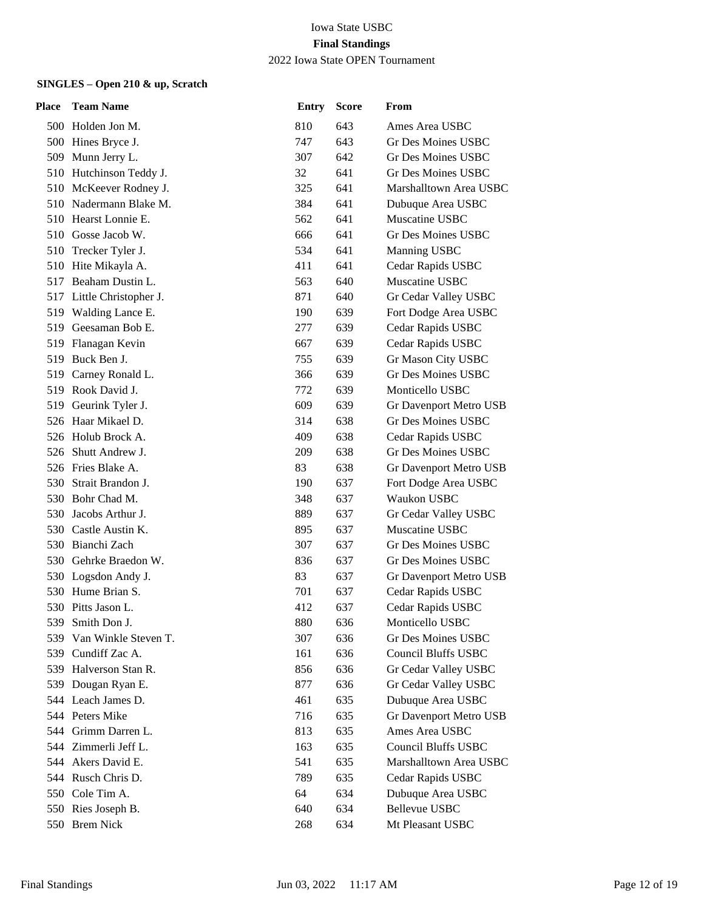| <b>Place</b> | <b>Team Name</b>          | <b>Entry</b> | <b>Score</b> | From                          |
|--------------|---------------------------|--------------|--------------|-------------------------------|
|              | 500 Holden Jon M.         | 810          | 643          | Ames Area USBC                |
|              | 500 Hines Bryce J.        | 747          | 643          | Gr Des Moines USBC            |
|              | 509 Munn Jerry L.         | 307          | 642          | Gr Des Moines USBC            |
|              | 510 Hutchinson Teddy J.   | 32           | 641          | <b>Gr Des Moines USBC</b>     |
|              | 510 McKeever Rodney J.    | 325          | 641          | Marshalltown Area USBC        |
|              | 510 Nadermann Blake M.    | 384          | 641          | Dubuque Area USBC             |
|              | 510 Hearst Lonnie E.      | 562          | 641          | Muscatine USBC                |
|              | 510 Gosse Jacob W.        | 666          | 641          | <b>Gr Des Moines USBC</b>     |
|              | 510 Trecker Tyler J.      | 534          | 641          | Manning USBC                  |
|              | 510 Hite Mikayla A.       | 411          | 641          | Cedar Rapids USBC             |
|              | 517 Beaham Dustin L.      | 563          | 640          | Muscatine USBC                |
|              | 517 Little Christopher J. | 871          | 640          | Gr Cedar Valley USBC          |
|              | 519 Walding Lance E.      | 190          | 639          | Fort Dodge Area USBC          |
|              | 519 Geesaman Bob E.       | 277          | 639          | Cedar Rapids USBC             |
|              | 519 Flanagan Kevin        | 667          | 639          | Cedar Rapids USBC             |
| 519          | Buck Ben J.               | 755          | 639          | Gr Mason City USBC            |
|              | 519 Carney Ronald L.      | 366          | 639          | <b>Gr Des Moines USBC</b>     |
|              | 519 Rook David J.         | 772          | 639          | Monticello USBC               |
|              | 519 Geurink Tyler J.      | 609          | 639          | <b>Gr Davenport Metro USB</b> |
|              | 526 Haar Mikael D.        | 314          | 638          | <b>Gr Des Moines USBC</b>     |
|              | 526 Holub Brock A.        | 409          | 638          | Cedar Rapids USBC             |
|              | 526 Shutt Andrew J.       | 209          | 638          | <b>Gr Des Moines USBC</b>     |
|              | 526 Fries Blake A.        | 83           | 638          | Gr Davenport Metro USB        |
| 530          | Strait Brandon J.         | 190          | 637          | Fort Dodge Area USBC          |
|              | 530 Bohr Chad M.          | 348          | 637          | <b>Waukon USBC</b>            |
| 530          | Jacobs Arthur J.          | 889          | 637          | Gr Cedar Valley USBC          |
|              | 530 Castle Austin K.      | 895          | 637          | Muscatine USBC                |
| 530.         | Bianchi Zach              | 307          | 637          | Gr Des Moines USBC            |
|              | 530 Gehrke Braedon W.     | 836          | 637          | Gr Des Moines USBC            |
|              | 530 Logsdon Andy J.       | 83           | 637          | Gr Davenport Metro USB        |
|              | 530 Hume Brian S.         | 701          | 637          | Cedar Rapids USBC             |
|              | 530 Pitts Jason L.        | 412          | 637          | Cedar Rapids USBC             |
|              | 539 Smith Don J.          | 880          | 636          | Monticello USBC               |
| 539          | Van Winkle Steven T.      | 307          | 636          | Gr Des Moines USBC            |
| 539          | Cundiff Zac A.            | 161          | 636          | <b>Council Bluffs USBC</b>    |
| 539          | Halverson Stan R.         | 856          | 636          | Gr Cedar Valley USBC          |
|              | 539 Dougan Ryan E.        | 877          | 636          | Gr Cedar Valley USBC          |
|              | 544 Leach James D.        | 461          | 635          | Dubuque Area USBC             |
|              | 544 Peters Mike           | 716          | 635          | Gr Davenport Metro USB        |
|              | 544 Grimm Darren L.       | 813          | 635          | Ames Area USBC                |
|              | 544 Zimmerli Jeff L.      | 163          | 635          | <b>Council Bluffs USBC</b>    |
|              | 544 Akers David E.        | 541          | 635          | Marshalltown Area USBC        |
| 544          | Rusch Chris D.            | 789          | 635          | Cedar Rapids USBC             |
|              | 550 Cole Tim A.           | 64           | 634          | Dubuque Area USBC             |
|              | 550 Ries Joseph B.        | 640          | 634          | <b>Bellevue USBC</b>          |
|              | 550 Brem Nick             | 268          | 634          | Mt Pleasant USBC              |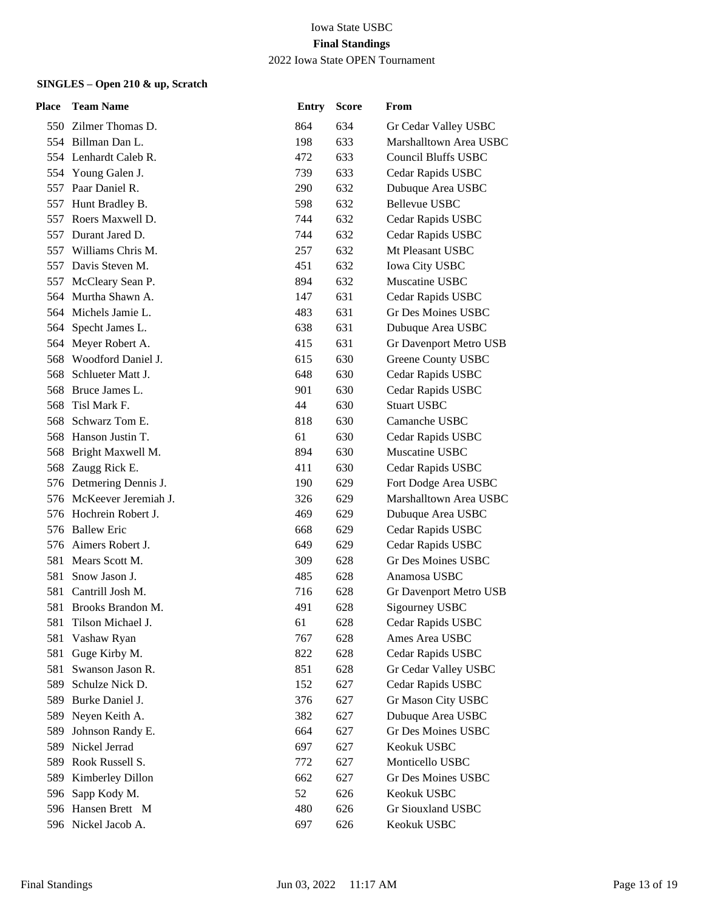| Place | <b>Team Name</b>         | <b>Entry</b> | <b>Score</b> | From                       |
|-------|--------------------------|--------------|--------------|----------------------------|
|       | 550 Zilmer Thomas D.     | 864          | 634          | Gr Cedar Valley USBC       |
|       | 554 Billman Dan L.       | 198          | 633          | Marshalltown Area USBC     |
|       | 554 Lenhardt Caleb R.    | 472          | 633          | <b>Council Bluffs USBC</b> |
|       | 554 Young Galen J.       | 739          | 633          | Cedar Rapids USBC          |
| 557   | Paar Daniel R.           | 290          | 632          | Dubuque Area USBC          |
|       | 557 Hunt Bradley B.      | 598          | 632          | <b>Bellevue USBC</b>       |
| 557   | Roers Maxwell D.         | 744          | 632          | Cedar Rapids USBC          |
| 557   | Durant Jared D.          | 744          | 632          | Cedar Rapids USBC          |
| 557   | Williams Chris M.        | 257          | 632          | Mt Pleasant USBC           |
|       | 557 Davis Steven M.      | 451          | 632          | Iowa City USBC             |
| 557   | McCleary Sean P.         | 894          | 632          | Muscatine USBC             |
| 564   | Murtha Shawn A.          | 147          | 631          | Cedar Rapids USBC          |
|       | 564 Michels Jamie L.     | 483          | 631          | <b>Gr Des Moines USBC</b>  |
|       | 564 Specht James L.      | 638          | 631          | Dubuque Area USBC          |
|       | 564 Meyer Robert A.      | 415          | 631          | Gr Davenport Metro USB     |
| 568   | Woodford Daniel J.       | 615          | 630          | Greene County USBC         |
| 568   | Schlueter Matt J.        | 648          | 630          | Cedar Rapids USBC          |
|       | 568 Bruce James L.       | 901          | 630          | Cedar Rapids USBC          |
| 568   | Tisl Mark F.             | 44           | 630          | <b>Stuart USBC</b>         |
| 568   | Schwarz Tom E.           | 818          | 630          | Camanche USBC              |
|       | 568 Hanson Justin T.     | 61           | 630          | Cedar Rapids USBC          |
|       | 568 Bright Maxwell M.    | 894          | 630          | Muscatine USBC             |
|       | 568 Zaugg Rick E.        | 411          | 630          | Cedar Rapids USBC          |
|       | 576 Detmering Dennis J.  | 190          | 629          | Fort Dodge Area USBC       |
|       | 576 McKeever Jeremiah J. | 326          | 629          | Marshalltown Area USBC     |
| 576   | Hochrein Robert J.       | 469          | 629          | Dubuque Area USBC          |
| 576.  | <b>Ballew Eric</b>       | 668          | 629          | Cedar Rapids USBC          |
| 576.  | Aimers Robert J.         | 649          | 629          | Cedar Rapids USBC          |
| 581   | Mears Scott M.           | 309          | 628          | Gr Des Moines USBC         |
| 581   | Snow Jason J.            | 485          | 628          | Anamosa USBC               |
| 581   | Cantrill Josh M.         | 716          | 628          | Gr Davenport Metro USB     |
|       | 581 Brooks Brandon M.    | 491          | 628          | Sigourney USBC             |
| 581   | Tilson Michael J.        | 61           | 628          | Cedar Rapids USBC          |
| 581   | Vashaw Ryan              | 767          | 628          | Ames Area USBC             |
| 581   | Guge Kirby M.            | 822          | 628          | Cedar Rapids USBC          |
| 581   | Swanson Jason R.         | 851          | 628          | Gr Cedar Valley USBC       |
| 589   | Schulze Nick D.          | 152          | 627          | Cedar Rapids USBC          |
| 589   | Burke Daniel J.          | 376          | 627          | Gr Mason City USBC         |
| 589   | Neyen Keith A.           | 382          | 627          | Dubuque Area USBC          |
| 589   | Johnson Randy E.         | 664          | 627          | Gr Des Moines USBC         |
| 589   | Nickel Jerrad            | 697          | 627          | Keokuk USBC                |
| 589   | Rook Russell S.          | 772          | 627          | Monticello USBC            |
| 589   | Kimberley Dillon         | 662          | 627          | <b>Gr Des Moines USBC</b>  |
| 596   | Sapp Kody M.             | 52           | 626          | Keokuk USBC                |
|       | 596 Hansen Brett M       | 480          | 626          | Gr Siouxland USBC          |
|       | 596 Nickel Jacob A.      | 697          | 626          | Keokuk USBC                |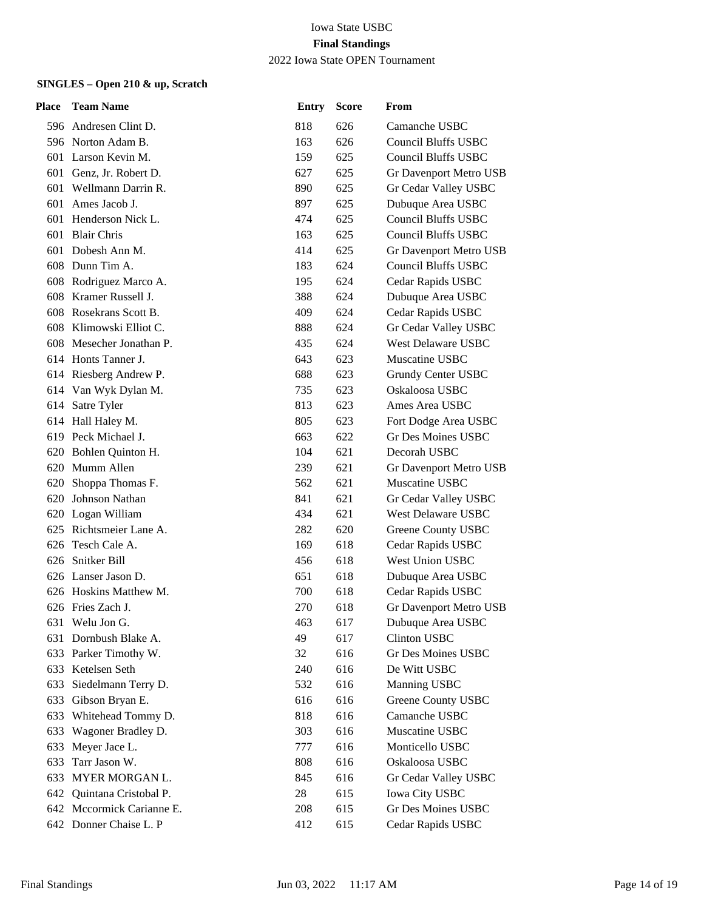| Place | <b>Team Name</b>          | <b>Entry</b> | <b>Score</b> | From                          |
|-------|---------------------------|--------------|--------------|-------------------------------|
|       | 596 Andresen Clint D.     | 818          | 626          | Camanche USBC                 |
|       | 596 Norton Adam B.        | 163          | 626          | <b>Council Bluffs USBC</b>    |
|       | 601 Larson Kevin M.       | 159          | 625          | <b>Council Bluffs USBC</b>    |
|       | 601 Genz, Jr. Robert D.   | 627          | 625          | Gr Davenport Metro USB        |
|       | 601 Wellmann Darrin R.    | 890          | 625          | Gr Cedar Valley USBC          |
|       | 601 Ames Jacob J.         | 897          | 625          | Dubuque Area USBC             |
|       | 601 Henderson Nick L.     | 474          | 625          | <b>Council Bluffs USBC</b>    |
| 601   | <b>Blair Chris</b>        | 163          | 625          | <b>Council Bluffs USBC</b>    |
|       | 601 Dobesh Ann M.         | 414          | 625          | <b>Gr Davenport Metro USB</b> |
|       | 608 Dunn Tim A.           | 183          | 624          | <b>Council Bluffs USBC</b>    |
|       | 608 Rodriguez Marco A.    | 195          | 624          | Cedar Rapids USBC             |
| 608   | Kramer Russell J.         | 388          | 624          | Dubuque Area USBC             |
|       | 608 Rosekrans Scott B.    | 409          | 624          | Cedar Rapids USBC             |
|       | 608 Klimowski Elliot C.   | 888          | 624          | Gr Cedar Valley USBC          |
| 608   | Mesecher Jonathan P.      | 435          | 624          | <b>West Delaware USBC</b>     |
|       | 614 Honts Tanner J.       | 643          | 623          | Muscatine USBC                |
|       | 614 Riesberg Andrew P.    | 688          | 623          | Grundy Center USBC            |
|       | 614 Van Wyk Dylan M.      | 735          | 623          | Oskaloosa USBC                |
|       | 614 Satre Tyler           | 813          | 623          | Ames Area USBC                |
|       | 614 Hall Haley M.         | 805          | 623          | Fort Dodge Area USBC          |
|       | 619 Peck Michael J.       | 663          | 622          | Gr Des Moines USBC            |
|       | 620 Bohlen Quinton H.     | 104          | 621          | Decorah USBC                  |
|       | 620 Mumm Allen            | 239          | 621          | Gr Davenport Metro USB        |
| 620   | Shoppa Thomas F.          | 562          | 621          | Muscatine USBC                |
| 620   | Johnson Nathan            | 841          | 621          | Gr Cedar Valley USBC          |
|       | 620 Logan William         | 434          | 621          | West Delaware USBC            |
|       | 625 Richtsmeier Lane A.   | 282          | 620          | Greene County USBC            |
| 626   | Tesch Cale A.             | 169          | 618          | Cedar Rapids USBC             |
|       | 626 Snitker Bill          | 456          | 618          | West Union USBC               |
|       | 626 Lanser Jason D.       | 651          | 618          | Dubuque Area USBC             |
|       | 626 Hoskins Matthew M.    | 700          | 618          | Cedar Rapids USBC             |
|       | 626 Fries Zach J.         | 270          | 618          | Gr Davenport Metro USB        |
| 631   | Welu Jon G.               | 463          | 617          | Dubuque Area USBC             |
|       | 631 Dornbush Blake A.     | 49           | 617          | <b>Clinton USBC</b>           |
|       | 633 Parker Timothy W.     | 32           | 616          | <b>Gr Des Moines USBC</b>     |
| 633   | Ketelsen Seth             | 240          | 616          | De Witt USBC                  |
| 633   | Siedelmann Terry D.       | 532          | 616          | <b>Manning USBC</b>           |
|       | 633 Gibson Bryan E.       | 616          | 616          | Greene County USBC            |
| 633   | Whitehead Tommy D.        | 818          | 616          | Camanche USBC                 |
| 633   | Wagoner Bradley D.        | 303          | 616          | Muscatine USBC                |
| 633   | Meyer Jace L.             | 777          | 616          | Monticello USBC               |
| 633   | Tarr Jason W.             | 808          | 616          | Oskaloosa USBC                |
| 633   | <b>MYER MORGAN L.</b>     | 845          | 616          | Gr Cedar Valley USBC          |
| 642   | Quintana Cristobal P.     | 28           | 615          | <b>Iowa City USBC</b>         |
|       | 642 Mccormick Carianne E. | 208          | 615          | Gr Des Moines USBC            |
|       | 642 Donner Chaise L. P    | 412          | 615          | Cedar Rapids USBC             |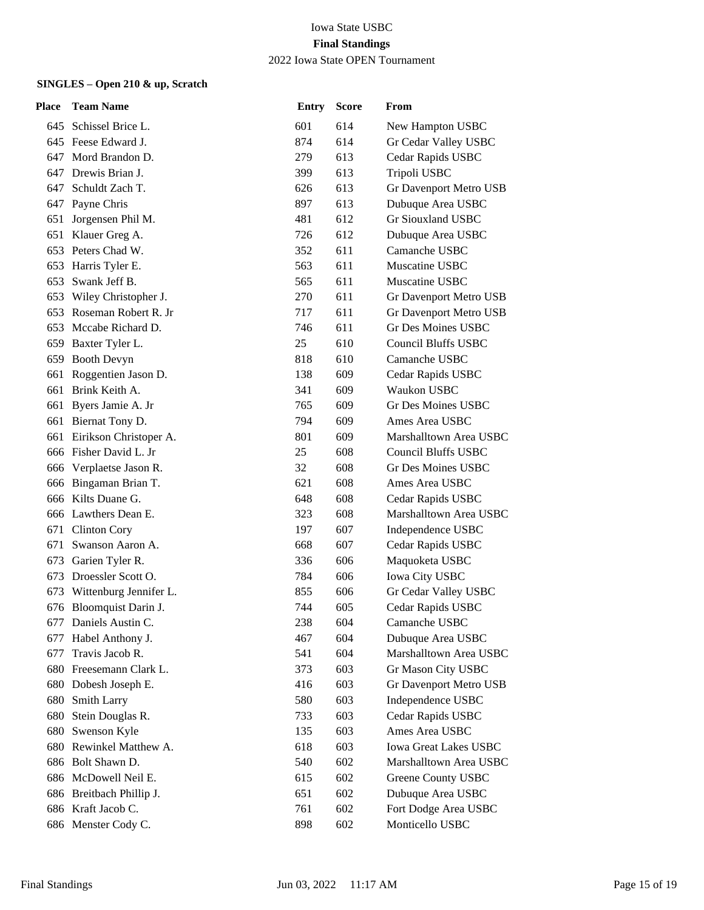| <b>Place</b> | <b>Team Name</b>           | <b>Entry</b> | <b>Score</b> | From                         |
|--------------|----------------------------|--------------|--------------|------------------------------|
|              | 645 Schissel Brice L.      | 601          | 614          | New Hampton USBC             |
|              | 645 Feese Edward J.        | 874          | 614          | Gr Cedar Valley USBC         |
| 647          | Mord Brandon D.            | 279          | 613          | Cedar Rapids USBC            |
|              | 647 Drewis Brian J.        | 399          | 613          | Tripoli USBC                 |
|              | 647 Schuldt Zach T.        | 626          | 613          | Gr Davenport Metro USB       |
|              | 647 Payne Chris            | 897          | 613          | Dubuque Area USBC            |
| 651          | Jorgensen Phil M.          | 481          | 612          | Gr Siouxland USBC            |
| 651          | Klauer Greg A.             | 726          | 612          | Dubuque Area USBC            |
|              | 653 Peters Chad W.         | 352          | 611          | Camanche USBC                |
|              | 653 Harris Tyler E.        | 563          | 611          | Muscatine USBC               |
|              | 653 Swank Jeff B.          | 565          | 611          | Muscatine USBC               |
|              | 653 Wiley Christopher J.   | 270          | 611          | Gr Davenport Metro USB       |
|              | 653 Roseman Robert R. Jr   | 717          | 611          | Gr Davenport Metro USB       |
|              | 653 Mccabe Richard D.      | 746          | 611          | Gr Des Moines USBC           |
|              | 659 Baxter Tyler L.        | 25           | 610          | <b>Council Bluffs USBC</b>   |
|              | 659 Booth Devyn            | 818          | 610          | Camanche USBC                |
|              | 661 Roggentien Jason D.    | 138          | 609          | Cedar Rapids USBC            |
|              | 661 Brink Keith A.         | 341          | 609          | Waukon USBC                  |
|              | 661 Byers Jamie A. Jr      | 765          | 609          | <b>Gr Des Moines USBC</b>    |
|              | 661 Biernat Tony D.        | 794          | 609          | Ames Area USBC               |
|              | 661 Eirikson Christoper A. | 801          | 609          | Marshalltown Area USBC       |
|              | 666 Fisher David L. Jr     | 25           | 608          | <b>Council Bluffs USBC</b>   |
|              | 666 Verplaetse Jason R.    | 32           | 608          | Gr Des Moines USBC           |
|              | 666 Bingaman Brian T.      | 621          | 608          | Ames Area USBC               |
|              | 666 Kilts Duane G.         | 648          | 608          | Cedar Rapids USBC            |
|              | 666 Lawthers Dean E.       | 323          | 608          | Marshalltown Area USBC       |
|              | 671 Clinton Cory           | 197          | 607          | Independence USBC            |
| 671          | Swanson Aaron A.           | 668          | 607          | Cedar Rapids USBC            |
|              | 673 Garien Tyler R.        | 336          | 606          | Maquoketa USBC               |
|              | 673 Droessler Scott O.     | 784          | 606          | Iowa City USBC               |
| 673          | Wittenburg Jennifer L.     | 855          | 606          | Gr Cedar Valley USBC         |
|              | 676 Bloomquist Darin J.    | 744          | 605          | Cedar Rapids USBC            |
|              | 677 Daniels Austin C.      | 238          | 604          | Camanche USBC                |
| 677          | Habel Anthony J.           | 467          | 604          | Dubuque Area USBC            |
| 677          | Travis Jacob R.            | 541          | 604          | Marshalltown Area USBC       |
| 680          | Freesemann Clark L.        | 373          | 603          | Gr Mason City USBC           |
|              | 680 Dobesh Joseph E.       | 416          | 603          | Gr Davenport Metro USB       |
| 680          | <b>Smith Larry</b>         | 580          | 603          | Independence USBC            |
| 680          | Stein Douglas R.           | 733          | 603          | Cedar Rapids USBC            |
| 680          | Swenson Kyle               | 135          | 603          | Ames Area USBC               |
| 680          | Rewinkel Matthew A.        | 618          | 603          | <b>Iowa Great Lakes USBC</b> |
| 686          | Bolt Shawn D.              | 540          | 602          | Marshalltown Area USBC       |
| 686          | McDowell Neil E.           | 615          | 602          | Greene County USBC           |
| 686          | Breitbach Phillip J.       | 651          | 602          | Dubuque Area USBC            |
|              | 686 Kraft Jacob C.         | 761          | 602          | Fort Dodge Area USBC         |
|              | 686 Menster Cody C.        | 898          | 602          | Monticello USBC              |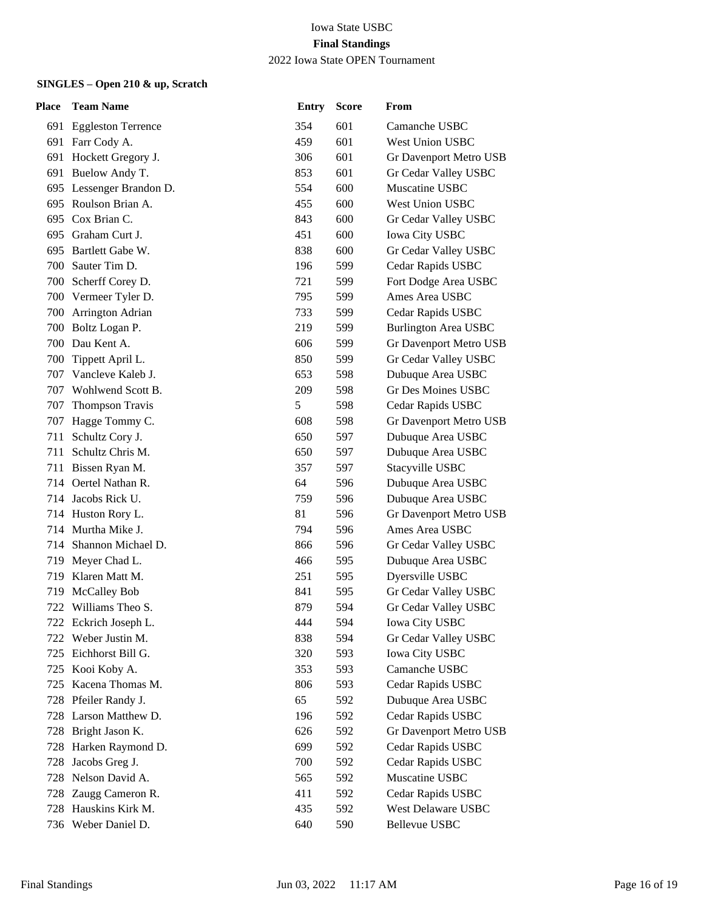| Place | <b>Team Name</b>         | Entry | <b>Score</b> | From                        |
|-------|--------------------------|-------|--------------|-----------------------------|
|       | 691 Eggleston Terrence   | 354   | 601          | Camanche USBC               |
|       | 691 Farr Cody A.         | 459   | 601          | <b>West Union USBC</b>      |
|       | 691 Hockett Gregory J.   | 306   | 601          | Gr Davenport Metro USB      |
|       | 691 Buelow Andy T.       | 853   | 601          | Gr Cedar Valley USBC        |
|       | 695 Lessenger Brandon D. | 554   | 600          | Muscatine USBC              |
|       | 695 Roulson Brian A.     | 455   | 600          | West Union USBC             |
| 695   | Cox Brian C.             | 843   | 600          | Gr Cedar Valley USBC        |
| 695   | Graham Curt J.           | 451   | 600          | <b>Iowa City USBC</b>       |
|       | 695 Bartlett Gabe W.     | 838   | 600          | Gr Cedar Valley USBC        |
|       | 700 Sauter Tim D.        | 196   | 599          | Cedar Rapids USBC           |
|       | 700 Scherff Corey D.     | 721   | 599          | Fort Dodge Area USBC        |
|       | 700 Vermeer Tyler D.     | 795   | 599          | Ames Area USBC              |
| 700   | Arrington Adrian         | 733   | 599          | Cedar Rapids USBC           |
|       | 700 Boltz Logan P.       | 219   | 599          | <b>Burlington Area USBC</b> |
| 700   | Dau Kent A.              | 606   | 599          | Gr Davenport Metro USB      |
| 700   | Tippett April L.         | 850   | 599          | Gr Cedar Valley USBC        |
| 707   | Vancleve Kaleb J.        | 653   | 598          | Dubuque Area USBC           |
|       | 707 Wohlwend Scott B.    | 209   | 598          | <b>Gr Des Moines USBC</b>   |
| 707   | Thompson Travis          | 5     | 598          | Cedar Rapids USBC           |
| 707   | Hagge Tommy C.           | 608   | 598          | Gr Davenport Metro USB      |
| 711   | Schultz Cory J.          | 650   | 597          | Dubuque Area USBC           |
| 711   | Schultz Chris M.         | 650   | 597          | Dubuque Area USBC           |
| 711   | Bissen Ryan M.           | 357   | 597          | Stacyville USBC             |
| 714   | Oertel Nathan R.         | 64    | 596          | Dubuque Area USBC           |
|       | 714 Jacobs Rick U.       | 759   | 596          | Dubuque Area USBC           |
|       | 714 Huston Rory L.       | 81    | 596          | Gr Davenport Metro USB      |
|       | 714 Murtha Mike J.       | 794   | 596          | Ames Area USBC              |
| 714   | Shannon Michael D.       | 866   | 596          | Gr Cedar Valley USBC        |
| 719   | Meyer Chad L.            | 466   | 595          | Dubuque Area USBC           |
| 719   | Klaren Matt M.           | 251   | 595          | Dyersville USBC             |
| 719   | <b>McCalley Bob</b>      | 841   | 595          | Gr Cedar Valley USBC        |
| 722   | Williams Theo S.         | 879   | 594          | Gr Cedar Valley USBC        |
|       | 722 Eckrich Joseph L.    | 444   | 594          | Iowa City USBC              |
| 722   | Weber Justin M.          | 838   | 594          | Gr Cedar Valley USBC        |
| 725   | Eichhorst Bill G.        | 320   | 593          | Iowa City USBC              |
| 725   | Kooi Koby A.             | 353   | 593          | Camanche USBC               |
| 725   | Kacena Thomas M.         | 806   | 593          | Cedar Rapids USBC           |
|       | 728 Pfeiler Randy J.     | 65    | 592          | Dubuque Area USBC           |
| 728   | Larson Matthew D.        | 196   | 592          | Cedar Rapids USBC           |
|       | 728 Bright Jason K.      | 626   | 592          | Gr Davenport Metro USB      |
| 728   | Harken Raymond D.        | 699   | 592          | Cedar Rapids USBC           |
| 728   | Jacobs Greg J.           | 700   | 592          | Cedar Rapids USBC           |
| 728   | Nelson David A.          | 565   | 592          | Muscatine USBC              |
| 728   | Zaugg Cameron R.         | 411   | 592          | Cedar Rapids USBC           |
| 728   | Hauskins Kirk M.         | 435   | 592          | West Delaware USBC          |
|       | 736 Weber Daniel D.      | 640   | 590          | Bellevue USBC               |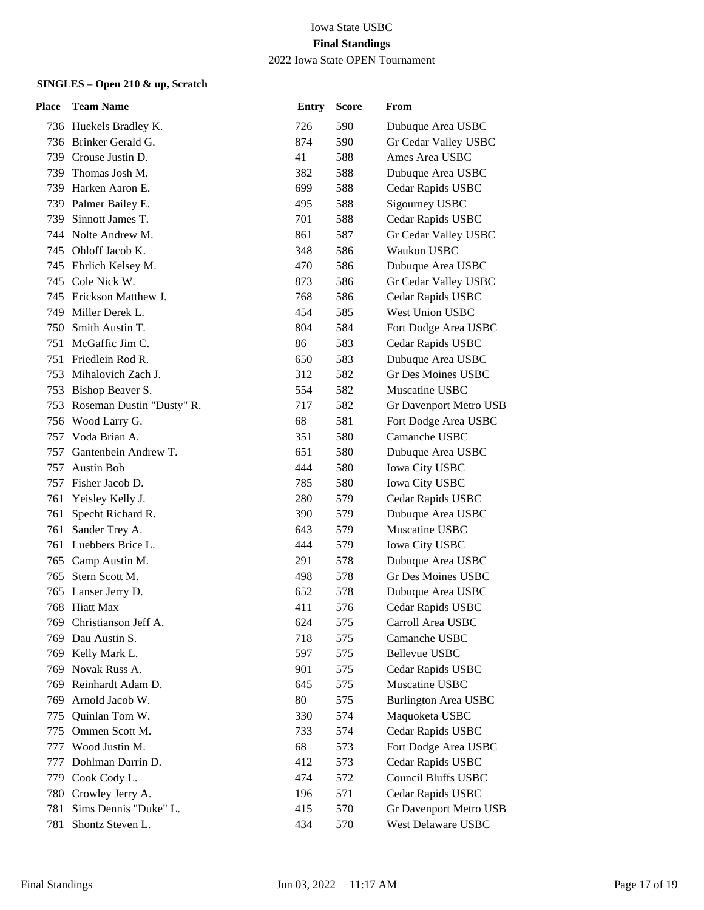| <b>Place</b> | <b>Team Name</b>          | <b>Entry</b> | <b>Score</b> | From                        |
|--------------|---------------------------|--------------|--------------|-----------------------------|
|              | 736 Huekels Bradley K.    | 726          | 590          | Dubuque Area USBC           |
|              | 736 Brinker Gerald G.     | 874          | 590          | Gr Cedar Valley USBC        |
| 739          | Crouse Justin D.          | 41           | 588          | Ames Area USBC              |
| 739          | Thomas Josh M.            | 382          | 588          | Dubuque Area USBC           |
|              | 739 Harken Aaron E.       | 699          | 588          | Cedar Rapids USBC           |
|              | 739 Palmer Bailey E.      | 495          | 588          | Sigourney USBC              |
| 739.         | Sinnott James T.          | 701          | 588          | Cedar Rapids USBC           |
|              | 744 Nolte Andrew M.       | 861          | 587          | Gr Cedar Valley USBC        |
|              | 745 Ohloff Jacob K.       | 348          | 586          | Waukon USBC                 |
|              | 745 Ehrlich Kelsey M.     | 470          | 586          | Dubuque Area USBC           |
|              | 745 Cole Nick W.          | 873          | 586          | Gr Cedar Valley USBC        |
|              | 745 Erickson Matthew J.   | 768          | 586          | Cedar Rapids USBC           |
| 749.         | Miller Derek L.           | 454          | 585          | West Union USBC             |
| 750          | Smith Austin T.           | 804          | 584          | Fort Dodge Area USBC        |
| 751          | McGaffic Jim C.           | 86           | 583          | Cedar Rapids USBC           |
| 751          | Friedlein Rod R.          | 650          | 583          | Dubuque Area USBC           |
|              | 753 Mihalovich Zach J.    | 312          | 582          | <b>Gr Des Moines USBC</b>   |
| 753          | Bishop Beaver S.          | 554          | 582          | Muscatine USBC              |
| 753          | Roseman Dustin "Dusty" R. | 717          | 582          | Gr Davenport Metro USB      |
| 756          | Wood Larry G.             | 68           | 581          | Fort Dodge Area USBC        |
| 757          | Voda Brian A.             | 351          | 580          | Camanche USBC               |
| 757          | Gantenbein Andrew T.      | 651          | 580          | Dubuque Area USBC           |
| 757          | <b>Austin Bob</b>         | 444          | 580          | <b>Iowa City USBC</b>       |
| 757          | Fisher Jacob D.           | 785          | 580          | <b>Iowa City USBC</b>       |
|              | 761 Yeisley Kelly J.      | 280          | 579          | Cedar Rapids USBC           |
| 761          | Specht Richard R.         | 390          | 579          | Dubuque Area USBC           |
| 761          | Sander Trey A.            | 643          | 579          | Muscatine USBC              |
| 761          | Luebbers Brice L.         | 444          | 579          | <b>Iowa City USBC</b>       |
|              | 765 Camp Austin M.        | 291          | 578          | Dubuque Area USBC           |
| 765          | Stern Scott M.            | 498          | 578          | Gr Des Moines USBC          |
| 765          | Lanser Jerry D.           | 652          | 578          | Dubuque Area USBC           |
|              | 768 Hiatt Max             | 411          | 576          | Cedar Rapids USBC           |
|              | 769 Christianson Jeff A.  | 624          | 575          | Carroll Area USBC           |
| 769          | Dau Austin S.             | 718          | 575          | Camanche USBC               |
| 769          | Kelly Mark L.             | 597          | 575          | Bellevue USBC               |
| 769          | Novak Russ A.             | 901          | 575          | Cedar Rapids USBC           |
| 769          | Reinhardt Adam D.         | 645          | 575          | Muscatine USBC              |
| 769          | Arnold Jacob W.           | 80           | 575          | <b>Burlington Area USBC</b> |
| 775          | Quinlan Tom W.            | 330          | 574          | Maquoketa USBC              |
| 775          | Ommen Scott M.            | 733          | 574          | Cedar Rapids USBC           |
| 777          | Wood Justin M.            | 68           | 573          | Fort Dodge Area USBC        |
| 777          | Dohlman Darrin D.         | 412          | 573          | Cedar Rapids USBC           |
| 779          | Cook Cody L.              | 474          | 572          | Council Bluffs USBC         |
| 780          | Crowley Jerry A.          | 196          | 571          | Cedar Rapids USBC           |
| 781          | Sims Dennis "Duke" L.     | 415          | 570          | Gr Davenport Metro USB      |
| 781          | Shontz Steven L.          | 434          | 570          | West Delaware USBC          |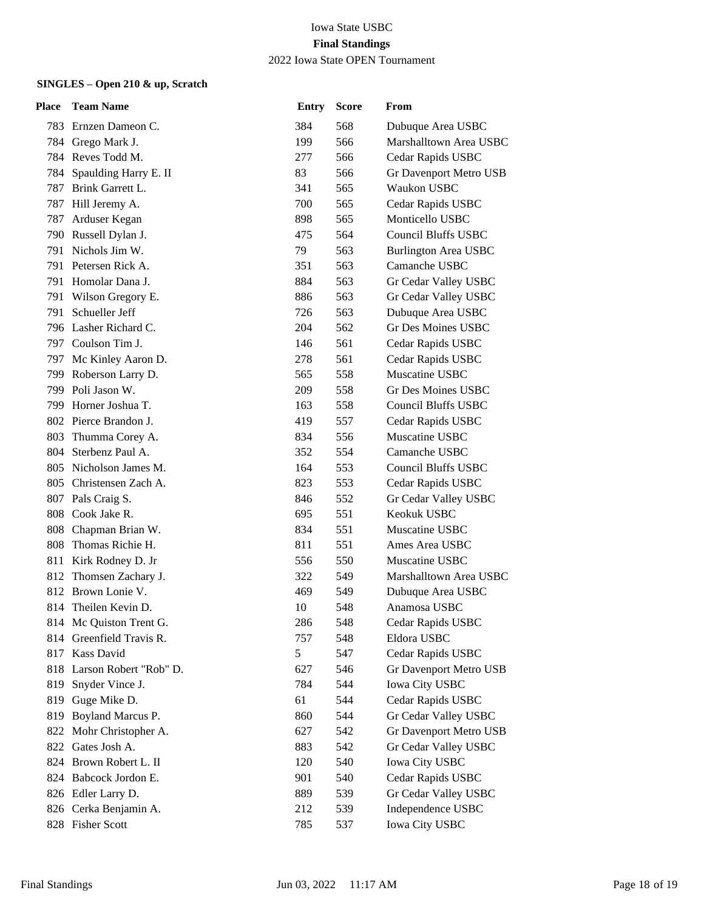| <b>Place</b> | <b>Team Name</b>           | <b>Entry</b> | <b>Score</b> | From                        |
|--------------|----------------------------|--------------|--------------|-----------------------------|
|              | 783 Ernzen Dameon C.       | 384          | 568          | Dubuque Area USBC           |
|              | 784 Grego Mark J.          | 199          | 566          | Marshalltown Area USBC      |
|              | 784 Reves Todd M.          | 277          | 566          | Cedar Rapids USBC           |
| 784          | Spaulding Harry E. II      | 83           | 566          | Gr Davenport Metro USB      |
|              | 787 Brink Garrett L.       | 341          | 565          | Waukon USBC                 |
|              | 787 Hill Jeremy A.         | 700          | 565          | Cedar Rapids USBC           |
| 787          | Arduser Kegan              | 898          | 565          | Monticello USBC             |
|              | 790 Russell Dylan J.       | 475          | 564          | <b>Council Bluffs USBC</b>  |
|              | 791 Nichols Jim W.         | 79           | 563          | <b>Burlington Area USBC</b> |
|              | 791 Petersen Rick A.       | 351          | 563          | Camanche USBC               |
|              | 791 Homolar Dana J.        | 884          | 563          | Gr Cedar Valley USBC        |
|              | 791 Wilson Gregory E.      | 886          | 563          | Gr Cedar Valley USBC        |
|              | 791 Schueller Jeff         | 726          | 563          | Dubuque Area USBC           |
|              | 796 Lasher Richard C.      | 204          | 562          | <b>Gr Des Moines USBC</b>   |
|              | 797 Coulson Tim J.         | 146          | 561          | Cedar Rapids USBC           |
|              | 797 Mc Kinley Aaron D.     | 278          | 561          | Cedar Rapids USBC           |
|              | 799 Roberson Larry D.      | 565          | 558          | Muscatine USBC              |
|              | 799 Poli Jason W.          | 209          | 558          | Gr Des Moines USBC          |
|              | 799 Horner Joshua T.       | 163          | 558          | <b>Council Bluffs USBC</b>  |
|              | 802 Pierce Brandon J.      | 419          | 557          | Cedar Rapids USBC           |
|              | 803 Thumma Corey A.        | 834          | 556          | Muscatine USBC              |
|              | 804 Sterbenz Paul A.       | 352          | 554          | Camanche USBC               |
|              | 805 Nicholson James M.     | 164          | 553          | <b>Council Bluffs USBC</b>  |
| 805-         | Christensen Zach A.        | 823          | 553          | Cedar Rapids USBC           |
|              | 807 Pals Craig S.          | 846          | 552          | Gr Cedar Valley USBC        |
|              | 808 Cook Jake R.           | 695          | 551          | Keokuk USBC                 |
| 808          | Chapman Brian W.           | 834          | 551          | Muscatine USBC              |
|              | 808 Thomas Richie H.       | 811          | 551          | Ames Area USBC              |
|              | 811 Kirk Rodney D. Jr      | 556          | 550          | Muscatine USBC              |
|              | 812 Thomsen Zachary J.     | 322          | 549          | Marshalltown Area USBC      |
|              | 812 Brown Lonie V.         | 469          | 549          | Dubuque Area USBC           |
|              | 814 Theilen Kevin D.       | 10           | 548          | Anamosa USBC                |
|              | 814 Mc Quiston Trent G.    | 286          | 548          | Cedar Rapids USBC           |
|              | 814 Greenfield Travis R.   | 757          | 548          | Eldora USBC                 |
|              | 817 Kass David             | 5            | 547          | Cedar Rapids USBC           |
|              | 818 Larson Robert "Rob" D. | 627          | 546          | Gr Davenport Metro USB      |
|              | 819 Snyder Vince J.        | 784          | 544          | <b>Iowa City USBC</b>       |
|              | 819 Guge Mike D.           | 61           | 544          | Cedar Rapids USBC           |
| 819          | Boyland Marcus P.          | 860          | 544          | Gr Cedar Valley USBC        |
| 822          | Mohr Christopher A.        | 627          | 542          | Gr Davenport Metro USB      |
|              | 822 Gates Josh A.          | 883          | 542          | Gr Cedar Valley USBC        |
|              | 824 Brown Robert L. II     | 120          | 540          | <b>Iowa City USBC</b>       |
|              | 824 Babcock Jordon E.      | 901          | 540          | Cedar Rapids USBC           |
|              | 826 Edler Larry D.         | 889          | 539          | Gr Cedar Valley USBC        |
|              | 826 Cerka Benjamin A.      | 212          | 539          | Independence USBC           |
|              | 828 Fisher Scott           | 785          | 537          | Iowa City USBC              |